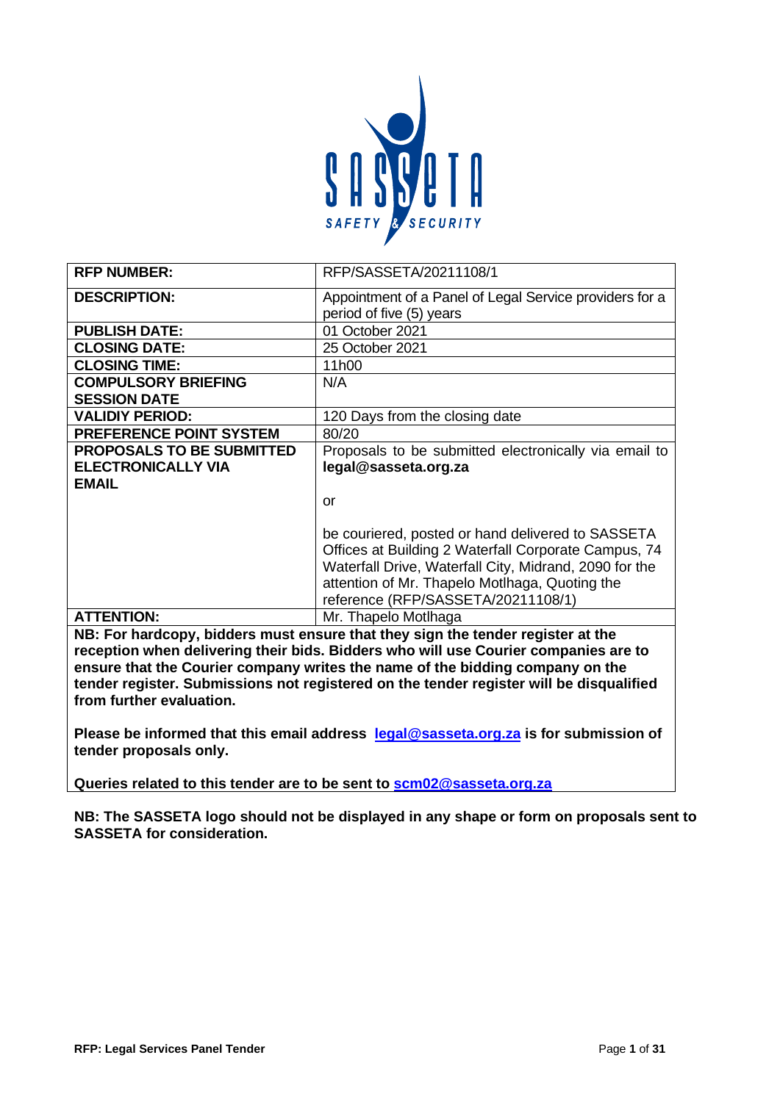

| <b>RFP NUMBER:</b>               | RFP/SASSETA/20211108/1                                                          |
|----------------------------------|---------------------------------------------------------------------------------|
| <b>DESCRIPTION:</b>              | Appointment of a Panel of Legal Service providers for a                         |
|                                  | period of five (5) years                                                        |
| <b>PUBLISH DATE:</b>             | 01 October 2021                                                                 |
| <b>CLOSING DATE:</b>             | 25 October 2021                                                                 |
| <b>CLOSING TIME:</b>             | 11h00                                                                           |
| <b>COMPULSORY BRIEFING</b>       | N/A                                                                             |
| <b>SESSION DATE</b>              |                                                                                 |
| <b>VALIDIY PERIOD:</b>           | 120 Days from the closing date                                                  |
| <b>PREFERENCE POINT SYSTEM</b>   | 80/20                                                                           |
| <b>PROPOSALS TO BE SUBMITTED</b> | Proposals to be submitted electronically via email to                           |
| <b>ELECTRONICALLY VIA</b>        | legal@sasseta.org.za                                                            |
| <b>EMAIL</b>                     |                                                                                 |
|                                  | or                                                                              |
|                                  |                                                                                 |
|                                  | be couriered, posted or hand delivered to SASSETA                               |
|                                  | Offices at Building 2 Waterfall Corporate Campus, 74                            |
|                                  | Waterfall Drive, Waterfall City, Midrand, 2090 for the                          |
|                                  | attention of Mr. Thapelo Motlhaga, Quoting the                                  |
|                                  | reference (RFP/SASSETA/20211108/1)                                              |
| <b>ATTENTION:</b>                | Mr. Thapelo Motlhaga                                                            |
|                                  | NB: For hardcopy, bidders must ensure that they sign the tender register at the |

**ers must ensure tnat tney sign tne tender registe reception when delivering their bids. Bidders who will use Courier companies are to ensure that the Courier company writes the name of the bidding company on the tender register. Submissions not registered on the tender register will be disqualified from further evaluation.** 

**Please be informed that this email address [legal@sasseta.org.za](mailto:legal@sasseta.org.za) is for submission of tender proposals only.**

**Queries related to this tender are to be sent to [scm02@sasseta.org.za](mailto:scm02@sasseta.org.za)**

**NB: The SASSETA logo should not be displayed in any shape or form on proposals sent to SASSETA for consideration.**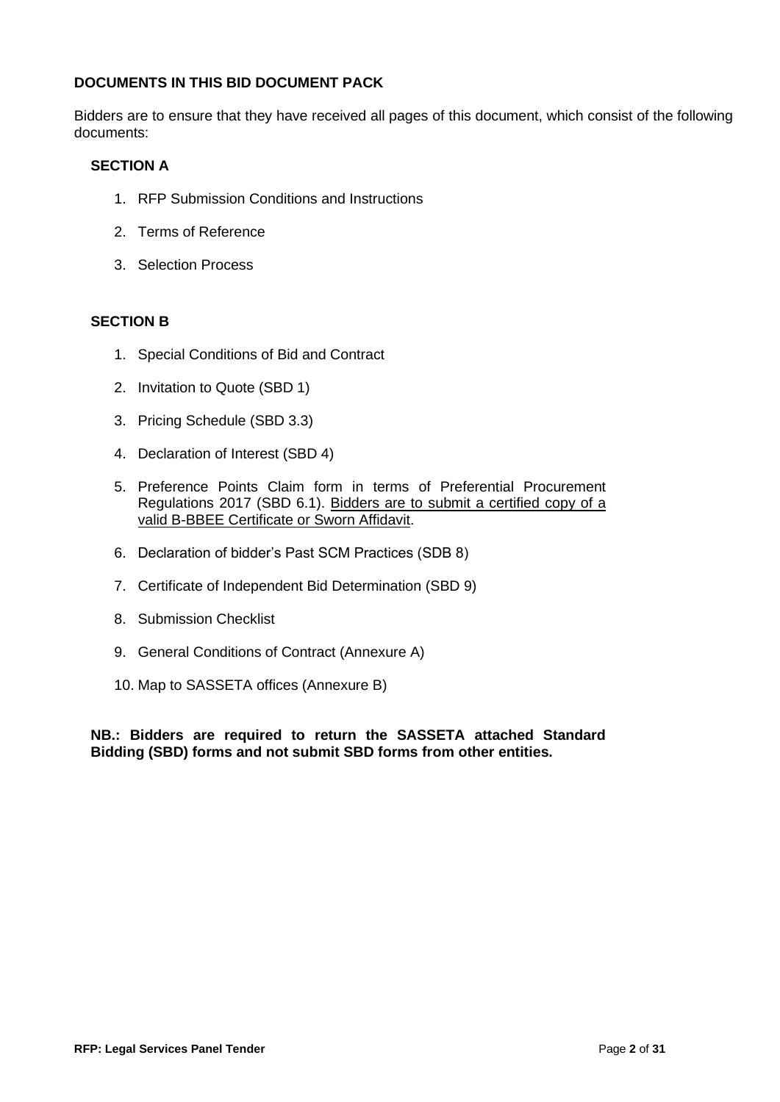## **DOCUMENTS IN THIS BID DOCUMENT PACK**

Bidders are to ensure that they have received all pages of this document, which consist of the following documents:

## **SECTION A**

- 1. RFP Submission Conditions and Instructions
- 2. Terms of Reference
- 3. Selection Process

## **SECTION B**

- 1. Special Conditions of Bid and Contract
- 2. Invitation to Quote (SBD 1)
- 3. Pricing Schedule (SBD 3.3)
- 4. Declaration of Interest (SBD 4)
- 5. Preference Points Claim form in terms of Preferential Procurement Regulations 2017 (SBD 6.1). Bidders are to submit a certified copy of a valid B-BBEE Certificate or Sworn Affidavit.
- 6. Declaration of bidder's Past SCM Practices (SDB 8)
- 7. Certificate of Independent Bid Determination (SBD 9)
- 8. Submission Checklist
- 9. General Conditions of Contract (Annexure A)
- 10. Map to SASSETA offices (Annexure B)

**NB.: Bidders are required to return the SASSETA attached Standard Bidding (SBD) forms and not submit SBD forms from other entities.**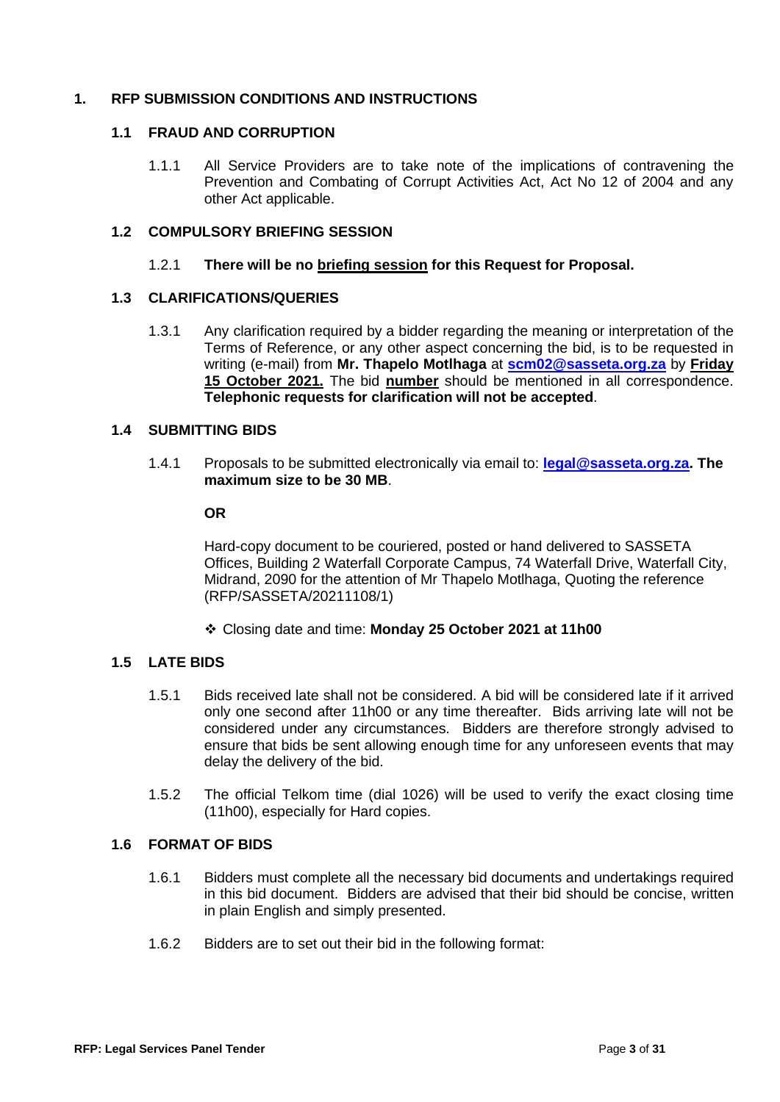# **1. RFP SUBMISSION CONDITIONS AND INSTRUCTIONS**

## **1.1 FRAUD AND CORRUPTION**

1.1.1 All Service Providers are to take note of the implications of contravening the Prevention and Combating of Corrupt Activities Act, Act No 12 of 2004 and any other Act applicable.

## **1.2 COMPULSORY BRIEFING SESSION**

#### 1.2.1 **There will be no briefing session for this Request for Proposal.**

## **1.3 CLARIFICATIONS/QUERIES**

1.3.1 Any clarification required by a bidder regarding the meaning or interpretation of the Terms of Reference, or any other aspect concerning the bid, is to be requested in writing (e-mail) from **Mr. Thapelo Motlhaga** at **[scm02@sasseta.org.za](mailto:scm02@sasseta.org.za)** by **Friday 15 October 2021.** The bid **number** should be mentioned in all correspondence. **Telephonic requests for clarification will not be accepted**.

## **1.4 SUBMITTING BIDS**

1.4.1 Proposals to be submitted electronically via email to: **[legal@sasseta.org.za.](mailto:legal@sasseta.org.za) The maximum size to be 30 MB**.

#### **OR**

Hard-copy document to be couriered, posted or hand delivered to SASSETA Offices, Building 2 Waterfall Corporate Campus, 74 Waterfall Drive, Waterfall City, Midrand, 2090 for the attention of Mr Thapelo Motlhaga, Quoting the reference (RFP/SASSETA/20211108/1)

❖ Closing date and time: **Monday 25 October 2021 at 11h00**

## **1.5 LATE BIDS**

- 1.5.1 Bids received late shall not be considered. A bid will be considered late if it arrived only one second after 11h00 or any time thereafter. Bids arriving late will not be considered under any circumstances. Bidders are therefore strongly advised to ensure that bids be sent allowing enough time for any unforeseen events that may delay the delivery of the bid.
- 1.5.2 The official Telkom time (dial 1026) will be used to verify the exact closing time (11h00), especially for Hard copies.

#### **1.6 FORMAT OF BIDS**

- 1.6.1 Bidders must complete all the necessary bid documents and undertakings required in this bid document. Bidders are advised that their bid should be concise, written in plain English and simply presented.
- 1.6.2 Bidders are to set out their bid in the following format: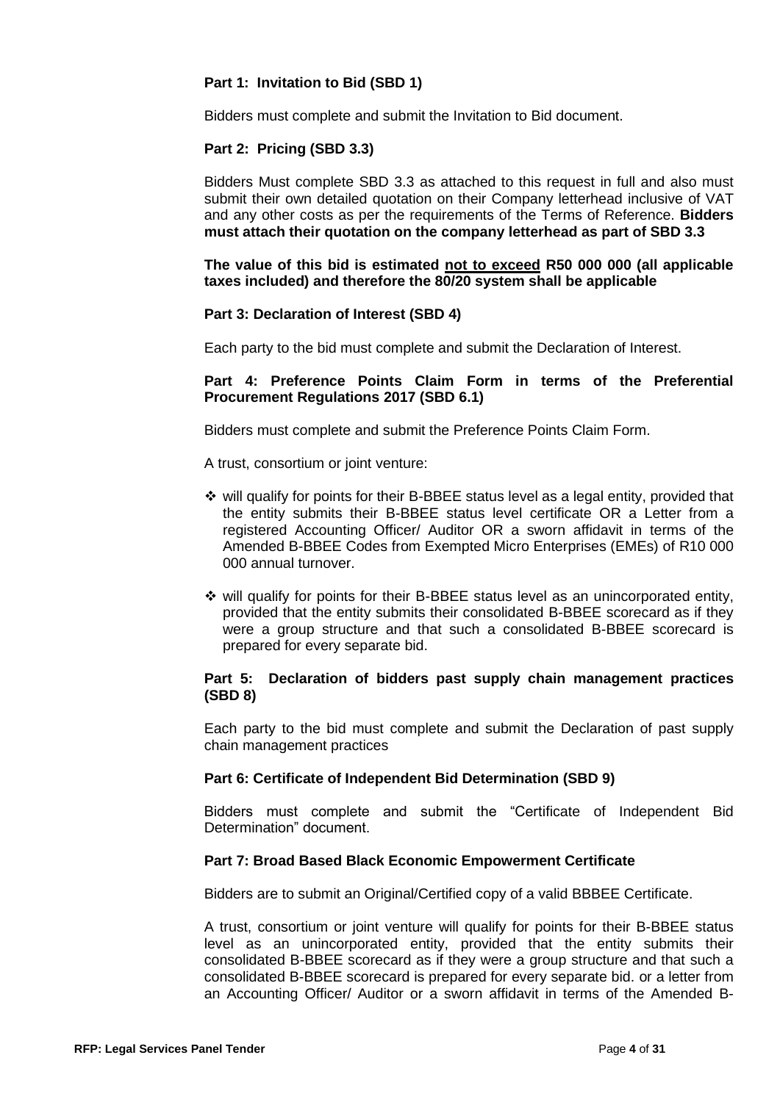## **Part 1: Invitation to Bid (SBD 1)**

Bidders must complete and submit the Invitation to Bid document.

#### **Part 2: Pricing (SBD 3.3)**

Bidders Must complete SBD 3.3 as attached to this request in full and also must submit their own detailed quotation on their Company letterhead inclusive of VAT and any other costs as per the requirements of the Terms of Reference. **Bidders must attach their quotation on the company letterhead as part of SBD 3.3**

#### **The value of this bid is estimated not to exceed R50 000 000 (all applicable taxes included) and therefore the 80/20 system shall be applicable**

## **Part 3: Declaration of Interest (SBD 4)**

Each party to the bid must complete and submit the Declaration of Interest.

## **Part 4: Preference Points Claim Form in terms of the Preferential Procurement Regulations 2017 (SBD 6.1)**

Bidders must complete and submit the Preference Points Claim Form.

A trust, consortium or joint venture:

- ❖ will qualify for points for their B-BBEE status level as a legal entity, provided that the entity submits their B-BBEE status level certificate OR a Letter from a registered Accounting Officer/ Auditor OR a sworn affidavit in terms of the Amended B-BBEE Codes from Exempted Micro Enterprises (EMEs) of R10 000 000 annual turnover.
- ❖ will qualify for points for their B-BBEE status level as an unincorporated entity, provided that the entity submits their consolidated B-BBEE scorecard as if they were a group structure and that such a consolidated B-BBEE scorecard is prepared for every separate bid.

## **Part 5: Declaration of bidders past supply chain management practices (SBD 8)**

Each party to the bid must complete and submit the Declaration of past supply chain management practices

#### **Part 6: Certificate of Independent Bid Determination (SBD 9)**

Bidders must complete and submit the "Certificate of Independent Bid Determination" document.

#### **Part 7: Broad Based Black Economic Empowerment Certificate**

Bidders are to submit an Original/Certified copy of a valid BBBEE Certificate.

A trust, consortium or joint venture will qualify for points for their B-BBEE status level as an unincorporated entity, provided that the entity submits their consolidated B-BBEE scorecard as if they were a group structure and that such a consolidated B-BBEE scorecard is prepared for every separate bid. or a letter from an Accounting Officer/ Auditor or a sworn affidavit in terms of the Amended B-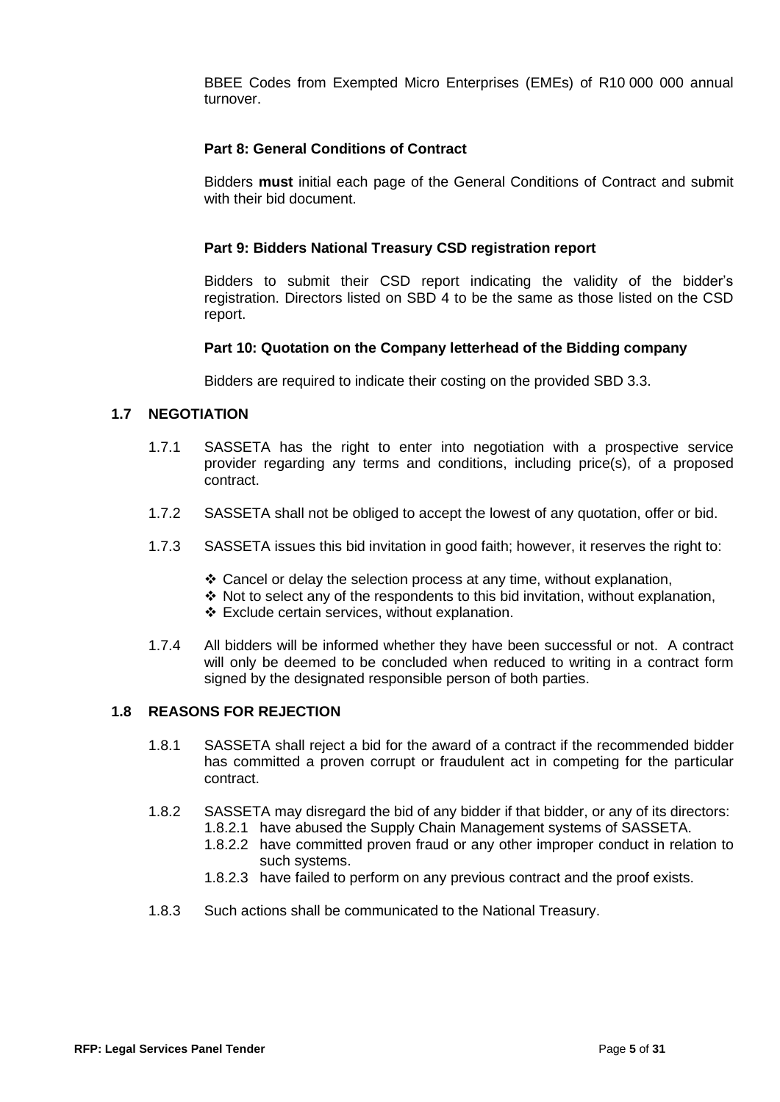BBEE Codes from Exempted Micro Enterprises (EMEs) of R10 000 000 annual turnover.

#### **Part 8: General Conditions of Contract**

Bidders **must** initial each page of the General Conditions of Contract and submit with their bid document.

#### **Part 9: Bidders National Treasury CSD registration report**

Bidders to submit their CSD report indicating the validity of the bidder's registration. Directors listed on SBD 4 to be the same as those listed on the CSD report.

#### **Part 10: Quotation on the Company letterhead of the Bidding company**

Bidders are required to indicate their costing on the provided SBD 3.3.

#### **1.7 NEGOTIATION**

- 1.7.1 SASSETA has the right to enter into negotiation with a prospective service provider regarding any terms and conditions, including price(s), of a proposed contract.
- 1.7.2 SASSETA shall not be obliged to accept the lowest of any quotation, offer or bid.
- 1.7.3 SASSETA issues this bid invitation in good faith; however, it reserves the right to:
	- ❖ Cancel or delay the selection process at any time, without explanation,
	- ❖ Not to select any of the respondents to this bid invitation, without explanation,
	- ❖ Exclude certain services, without explanation.
- 1.7.4 All bidders will be informed whether they have been successful or not. A contract will only be deemed to be concluded when reduced to writing in a contract form signed by the designated responsible person of both parties.

## **1.8 REASONS FOR REJECTION**

- 1.8.1 SASSETA shall reject a bid for the award of a contract if the recommended bidder has committed a proven corrupt or fraudulent act in competing for the particular contract.
- 1.8.2 SASSETA may disregard the bid of any bidder if that bidder, or any of its directors:
	- 1.8.2.1 have abused the Supply Chain Management systems of SASSETA.
	- 1.8.2.2 have committed proven fraud or any other improper conduct in relation to such systems.
	- 1.8.2.3 have failed to perform on any previous contract and the proof exists.
- 1.8.3 Such actions shall be communicated to the National Treasury.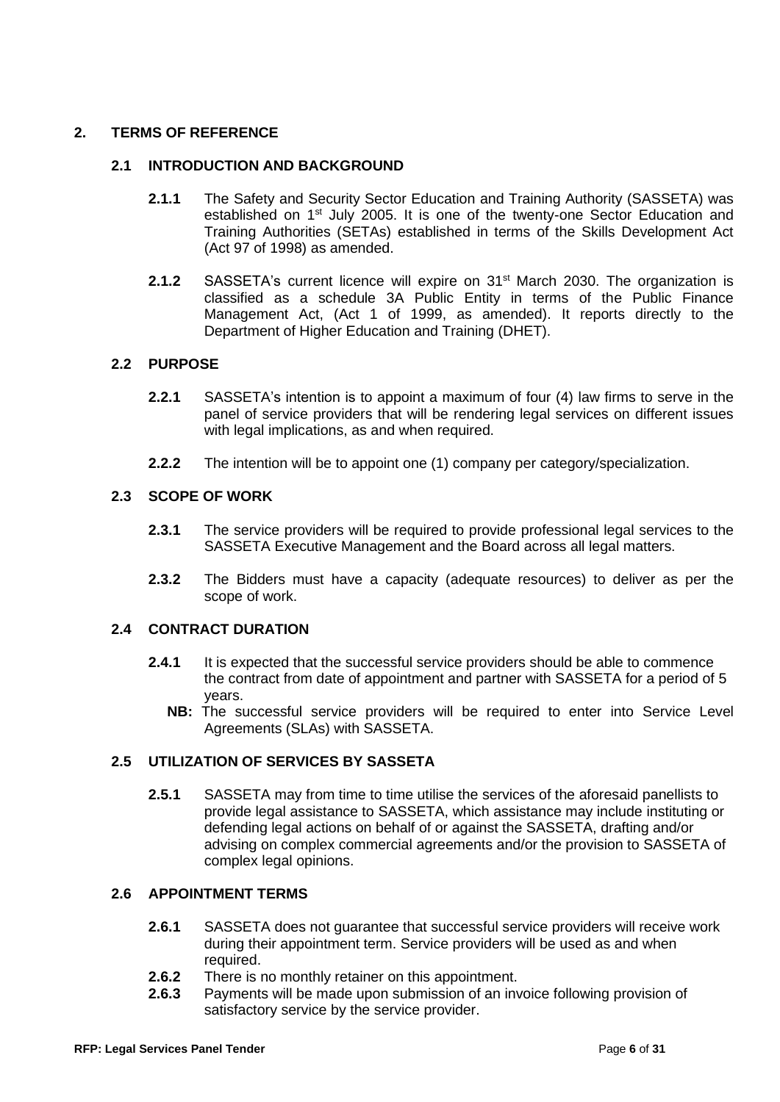# **2. TERMS OF REFERENCE**

## **2.1 INTRODUCTION AND BACKGROUND**

- **2.1.1** The Safety and Security Sector Education and Training Authority (SASSETA) was established on 1<sup>st</sup> July 2005. It is one of the twenty-one Sector Education and Training Authorities (SETAs) established in terms of the Skills Development Act (Act 97 of 1998) as amended.
- **2.1.2** SASSETA's current licence will expire on 31<sup>st</sup> March 2030. The organization is classified as a schedule 3A Public Entity in terms of the Public Finance Management Act, (Act 1 of 1999, as amended). It reports directly to the Department of Higher Education and Training (DHET).

## **2.2 PURPOSE**

- **2.2.1** SASSETA's intention is to appoint a maximum of four (4) law firms to serve in the panel of service providers that will be rendering legal services on different issues with legal implications, as and when required.
- **2.2.2** The intention will be to appoint one (1) company per category/specialization.

## **2.3 SCOPE OF WORK**

- **2.3.1** The service providers will be required to provide professional legal services to the SASSETA Executive Management and the Board across all legal matters.
- **2.3.2** The Bidders must have a capacity (adequate resources) to deliver as per the scope of work.

## **2.4 CONTRACT DURATION**

- **2.4.1** It is expected that the successful service providers should be able to commence the contract from date of appointment and partner with SASSETA for a period of 5 years.
	- **NB:** The successful service providers will be required to enter into Service Level Agreements (SLAs) with SASSETA.

## **2.5 UTILIZATION OF SERVICES BY SASSETA**

**2.5.1** SASSETA may from time to time utilise the services of the aforesaid panellists to provide legal assistance to SASSETA, which assistance may include instituting or defending legal actions on behalf of or against the SASSETA, drafting and/or advising on complex commercial agreements and/or the provision to SASSETA of complex legal opinions.

#### **2.6 APPOINTMENT TERMS**

- **2.6.1** SASSETA does not guarantee that successful service providers will receive work during their appointment term. Service providers will be used as and when required.
- **2.6.2** There is no monthly retainer on this appointment.
- **2.6.3** Payments will be made upon submission of an invoice following provision of satisfactory service by the service provider.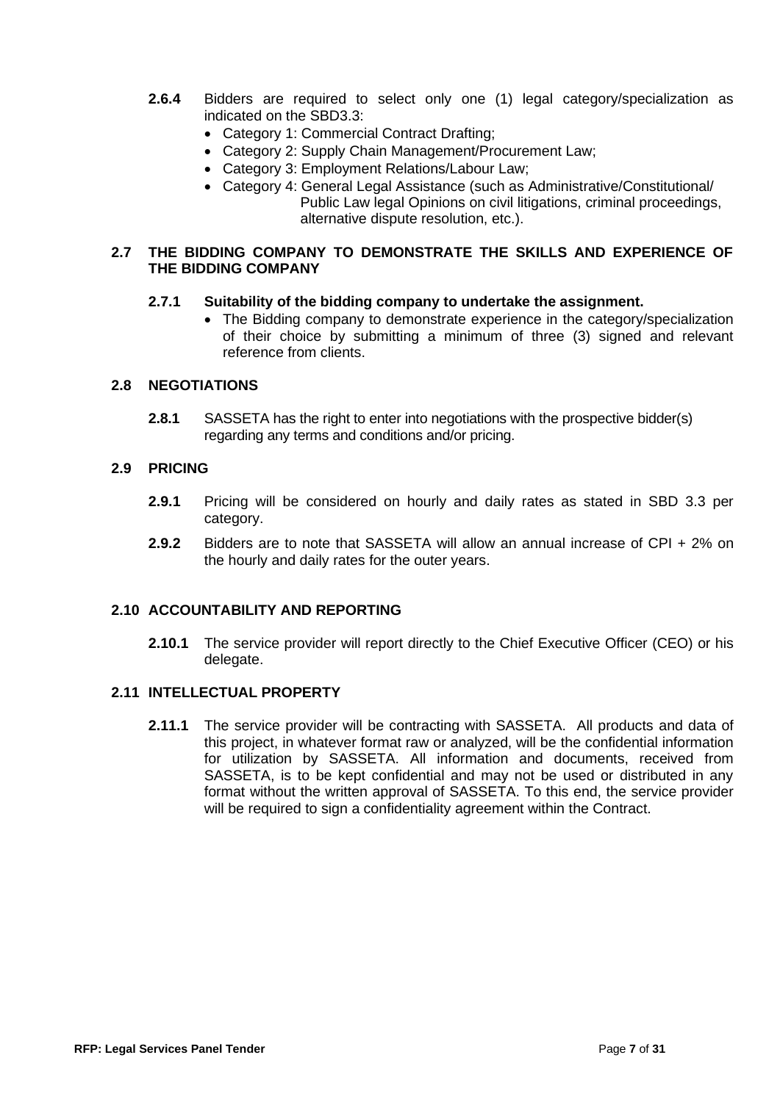- **2.6.4** Bidders are required to select only one (1) legal category/specialization as indicated on the SBD3.3:
	- Category 1: Commercial Contract Drafting;
	- Category 2: Supply Chain Management/Procurement Law;
	- Category 3: Employment Relations/Labour Law;
	- Category 4: General Legal Assistance (such as Administrative/Constitutional/ Public Law legal Opinions on civil litigations, criminal proceedings, alternative dispute resolution, etc.).

#### **2.7 THE BIDDING COMPANY TO DEMONSTRATE THE SKILLS AND EXPERIENCE OF THE BIDDING COMPANY**

## **2.7.1 Suitability of the bidding company to undertake the assignment.**

• The Bidding company to demonstrate experience in the category/specialization of their choice by submitting a minimum of three (3) signed and relevant reference from clients.

## **2.8 NEGOTIATIONS**

**2.8.1** SASSETA has the right to enter into negotiations with the prospective bidder(s) regarding any terms and conditions and/or pricing.

#### **2.9 PRICING**

- **2.9.1** Pricing will be considered on hourly and daily rates as stated in SBD 3.3 per category.
- **2.9.2** Bidders are to note that SASSETA will allow an annual increase of CPI + 2% on the hourly and daily rates for the outer years.

## **2.10 ACCOUNTABILITY AND REPORTING**

**2.10.1** The service provider will report directly to the Chief Executive Officer (CEO) or his delegate.

#### **2.11 INTELLECTUAL PROPERTY**

**2.11.1** The service provider will be contracting with SASSETA. All products and data of this project, in whatever format raw or analyzed, will be the confidential information for utilization by SASSETA. All information and documents, received from SASSETA, is to be kept confidential and may not be used or distributed in any format without the written approval of SASSETA. To this end, the service provider will be required to sign a confidentiality agreement within the Contract.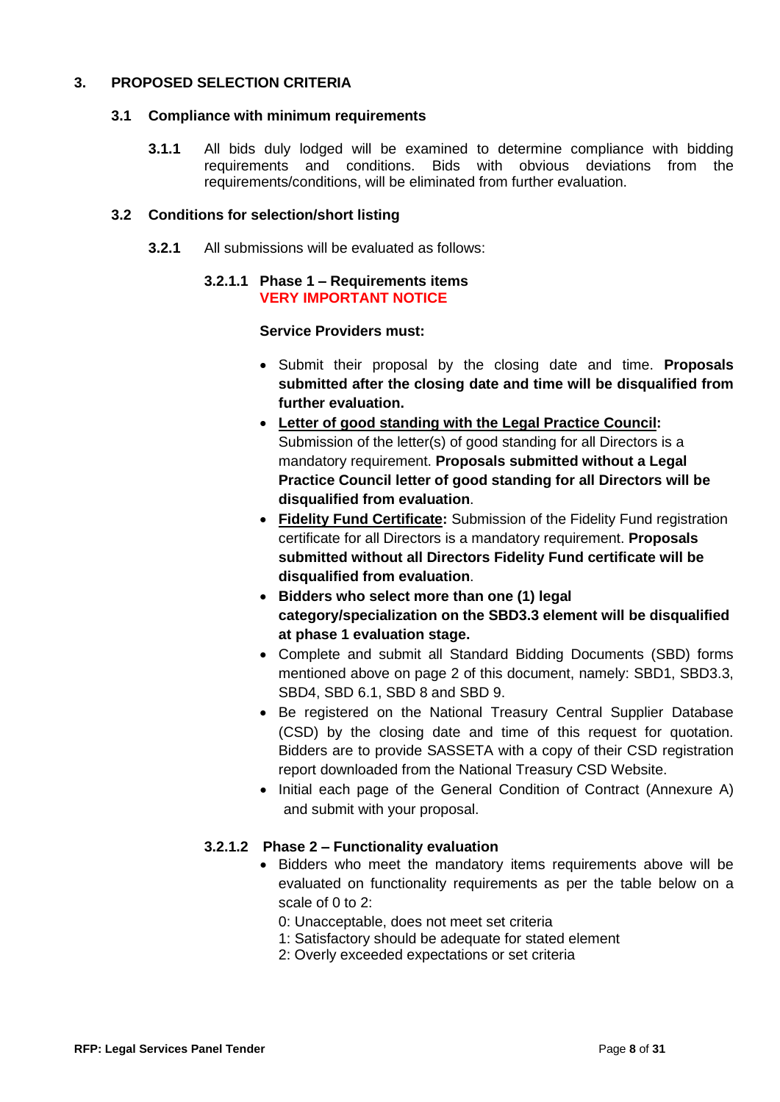## **3. PROPOSED SELECTION CRITERIA**

## **3.1 Compliance with minimum requirements**

**3.1.1** All bids duly lodged will be examined to determine compliance with bidding requirements and conditions. Bids with obvious deviations from the requirements/conditions, will be eliminated from further evaluation.

## **3.2 Conditions for selection/short listing**

**3.2.1** All submissions will be evaluated as follows:

#### **3.2.1.1 Phase 1 – Requirements items VERY IMPORTANT NOTICE**

## **Service Providers must:**

- Submit their proposal by the closing date and time. **Proposals submitted after the closing date and time will be disqualified from further evaluation.**
- **Letter of good standing with the Legal Practice Council:**  Submission of the letter(s) of good standing for all Directors is a mandatory requirement. **Proposals submitted without a Legal Practice Council letter of good standing for all Directors will be disqualified from evaluation**.
- **Fidelity Fund Certificate:** Submission of the Fidelity Fund registration certificate for all Directors is a mandatory requirement. **Proposals submitted without all Directors Fidelity Fund certificate will be disqualified from evaluation**.
- **Bidders who select more than one (1) legal category/specialization on the SBD3.3 element will be disqualified at phase 1 evaluation stage.**
- Complete and submit all Standard Bidding Documents (SBD) forms mentioned above on page 2 of this document, namely: SBD1, SBD3.3, SBD4, SBD 6.1, SBD 8 and SBD 9.
- Be registered on the National Treasury Central Supplier Database (CSD) by the closing date and time of this request for quotation. Bidders are to provide SASSETA with a copy of their CSD registration report downloaded from the National Treasury CSD Website.
- Initial each page of the General Condition of Contract (Annexure A) and submit with your proposal.

## **3.2.1.2 Phase 2 – Functionality evaluation**

- Bidders who meet the mandatory items requirements above will be evaluated on functionality requirements as per the table below on a scale of 0 to 2:
	- 0: Unacceptable, does not meet set criteria
	- 1: Satisfactory should be adequate for stated element
	- 2: Overly exceeded expectations or set criteria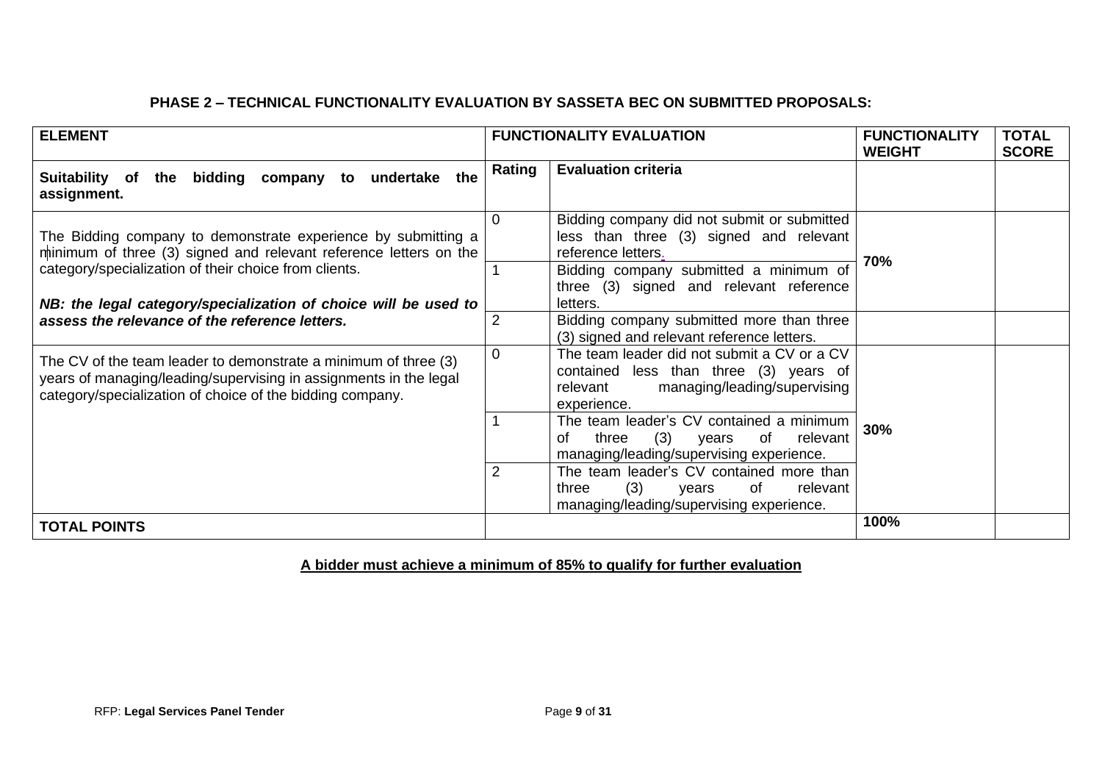# **PHASE 2 – TECHNICAL FUNCTIONALITY EVALUATION BY SASSETA BEC ON SUBMITTED PROPOSALS:**

| <b>ELEMENT</b>                                                                                                                                                                                                                                                 |                | <b>FUNCTIONALITY EVALUATION</b>                                                                                                                                                                               | <b>FUNCTIONALITY</b><br><b>WEIGHT</b> | <b>TOTAL</b><br><b>SCORE</b> |  |  |  |  |  |
|----------------------------------------------------------------------------------------------------------------------------------------------------------------------------------------------------------------------------------------------------------------|----------------|---------------------------------------------------------------------------------------------------------------------------------------------------------------------------------------------------------------|---------------------------------------|------------------------------|--|--|--|--|--|
| the<br>bidding company<br>undertake<br>Suitability of<br>the<br>to<br>assignment.                                                                                                                                                                              | Rating         | <b>Evaluation criteria</b>                                                                                                                                                                                    |                                       |                              |  |  |  |  |  |
| The Bidding company to demonstrate experience by submitting a<br>minimum of three (3) signed and relevant reference letters on the<br>category/specialization of their choice from clients.<br>NB: the legal category/specialization of choice will be used to |                | Bidding company did not submit or submitted<br>less than three (3) signed and relevant<br>reference letters.<br>Bidding company submitted a minimum of<br>three (3) signed and relevant reference<br>letters. | 70%                                   |                              |  |  |  |  |  |
| assess the relevance of the reference letters.                                                                                                                                                                                                                 | $\overline{2}$ | Bidding company submitted more than three<br>(3) signed and relevant reference letters.                                                                                                                       |                                       |                              |  |  |  |  |  |
| The CV of the team leader to demonstrate a minimum of three (3)<br>years of managing/leading/supervising in assignments in the legal<br>category/specialization of choice of the bidding company.                                                              | 0              | The team leader did not submit a CV or a CV<br>contained less than three (3) years of<br>managing/leading/supervising<br>relevant<br>experience.                                                              |                                       |                              |  |  |  |  |  |
|                                                                                                                                                                                                                                                                |                | The team leader's CV contained a minimum<br>(3)<br>three<br>of<br>relevant<br>οf<br>years<br>managing/leading/supervising experience.                                                                         | 30%                                   |                              |  |  |  |  |  |
|                                                                                                                                                                                                                                                                | $\overline{2}$ | The team leader's CV contained more than<br>(3)<br>of<br>relevant<br>three<br>years<br>managing/leading/supervising experience.                                                                               |                                       |                              |  |  |  |  |  |
| <b>TOTAL POINTS</b>                                                                                                                                                                                                                                            |                |                                                                                                                                                                                                               | 100%                                  |                              |  |  |  |  |  |

# **A bidder must achieve a minimum of 85% to qualify for further evaluation**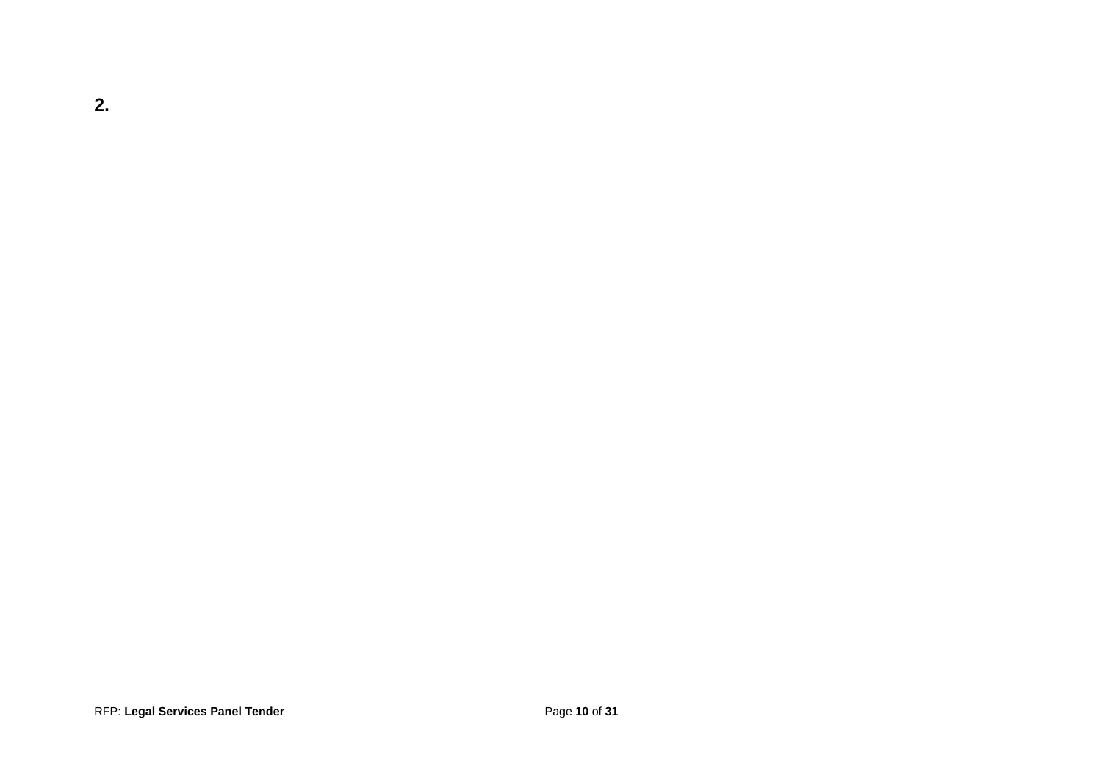**2.**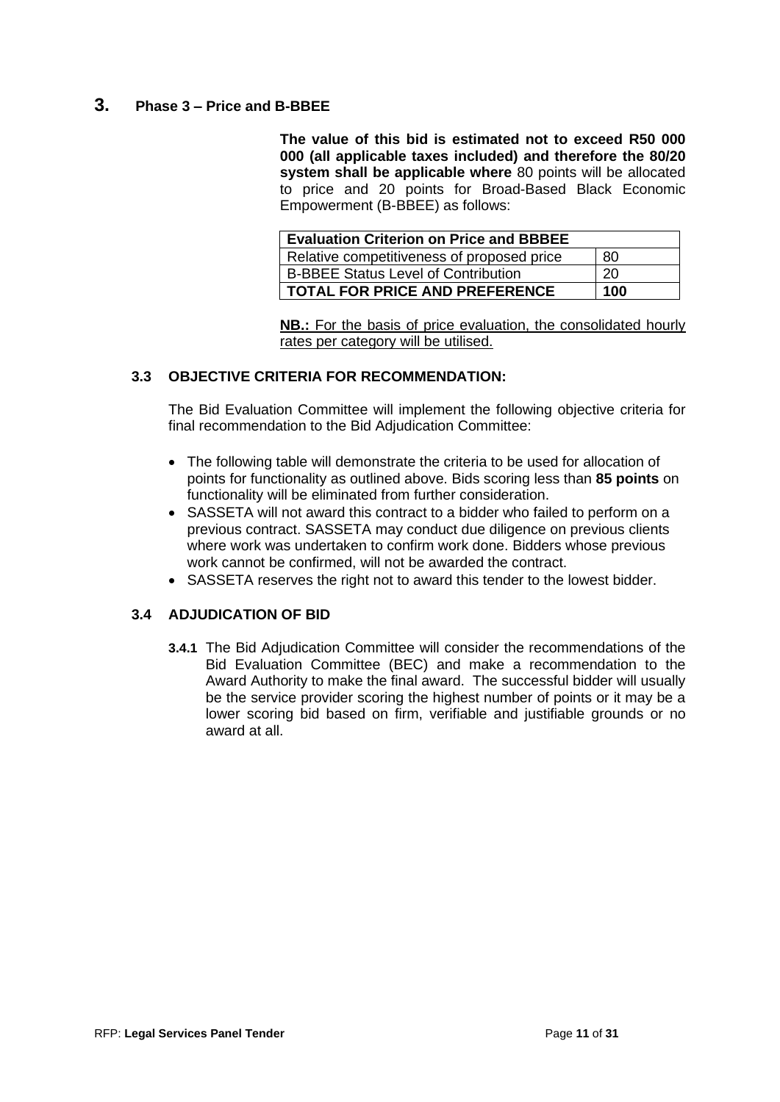# **3. Phase 3 – Price and B-BBEE**

**The value of this bid is estimated not to exceed R50 000 000 (all applicable taxes included) and therefore the 80/20 system shall be applicable where** 80 points will be allocated to price and 20 points for Broad-Based Black Economic Empowerment (B-BBEE) as follows:

| <b>Evaluation Criterion on Price and BBBEE</b> |     |
|------------------------------------------------|-----|
| Relative competitiveness of proposed price     | -80 |
| <b>B-BBEE Status Level of Contribution</b>     | -20 |
| <b>TOTAL FOR PRICE AND PREFERENCE</b>          | 100 |

**NB.:** For the basis of price evaluation, the consolidated hourly rates per category will be utilised.

## **3.3 OBJECTIVE CRITERIA FOR RECOMMENDATION:**

The Bid Evaluation Committee will implement the following objective criteria for final recommendation to the Bid Adjudication Committee:

- The following table will demonstrate the criteria to be used for allocation of points for functionality as outlined above. Bids scoring less than **85 points** on functionality will be eliminated from further consideration.
- SASSETA will not award this contract to a bidder who failed to perform on a previous contract. SASSETA may conduct due diligence on previous clients where work was undertaken to confirm work done. Bidders whose previous work cannot be confirmed, will not be awarded the contract.
- SASSETA reserves the right not to award this tender to the lowest bidder.

## **3.4 ADJUDICATION OF BID**

**3.4.1** The Bid Adjudication Committee will consider the recommendations of the Bid Evaluation Committee (BEC) and make a recommendation to the Award Authority to make the final award. The successful bidder will usually be the service provider scoring the highest number of points or it may be a lower scoring bid based on firm, verifiable and justifiable grounds or no award at all.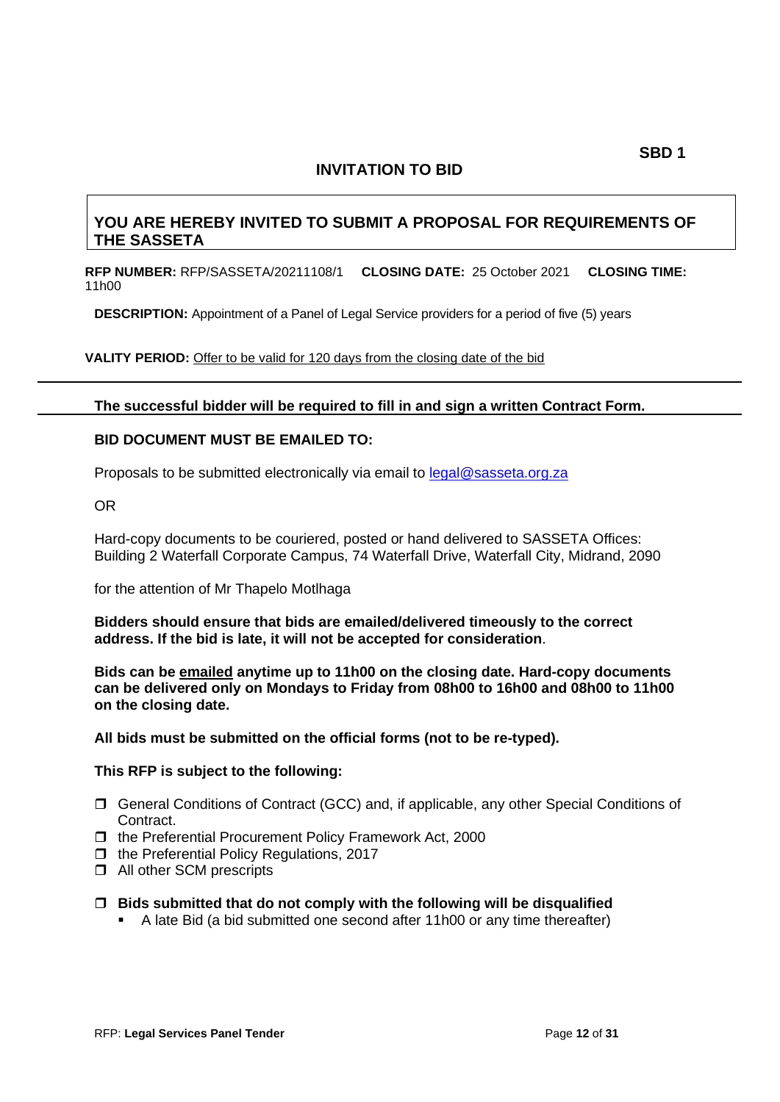# **YOU ARE HEREBY INVITED TO SUBMIT A PROPOSAL FOR REQUIREMENTS OF THE SASSETA**

**RFP NUMBER:** RFP/SASSETA/20211108/1 **CLOSING DATE:** 25 October 2021 **CLOSING TIME:**  11h00

**DESCRIPTION:** Appointment of a Panel of Legal Service providers for a period of five (5) years

VALITY PERIOD: Offer to be valid for 120 days from the closing date of the bid

#### **The successful bidder will be required to fill in and sign a written Contract Form.**

## **BID DOCUMENT MUST BE EMAILED TO:**

Proposals to be submitted electronically via email to [legal@sasseta.org.za](mailto:legal@sasseta.org.za)

OR

Hard-copy documents to be couriered, posted or hand delivered to SASSETA Offices: Building 2 Waterfall Corporate Campus, 74 Waterfall Drive, Waterfall City, Midrand, 2090

for the attention of Mr Thapelo Motlhaga

**Bidders should ensure that bids are emailed/delivered timeously to the correct address. If the bid is late, it will not be accepted for consideration**.

**Bids can be emailed anytime up to 11h00 on the closing date. Hard-copy documents can be delivered only on Mondays to Friday from 08h00 to 16h00 and 08h00 to 11h00 on the closing date.**

**All bids must be submitted on the official forms (not to be re-typed).**

#### **This RFP is subject to the following:**

- General Conditions of Contract (GCC) and, if applicable, any other Special Conditions of **Contract**
- $\Box$  the Preferential Procurement Policy Framework Act, 2000
- $\Box$  the Preferential Policy Regulations, 2017
- □ All other SCM prescripts
- **Bids submitted that do not comply with the following will be disqualified**
	- A late Bid (a bid submitted one second after 11h00 or any time thereafter)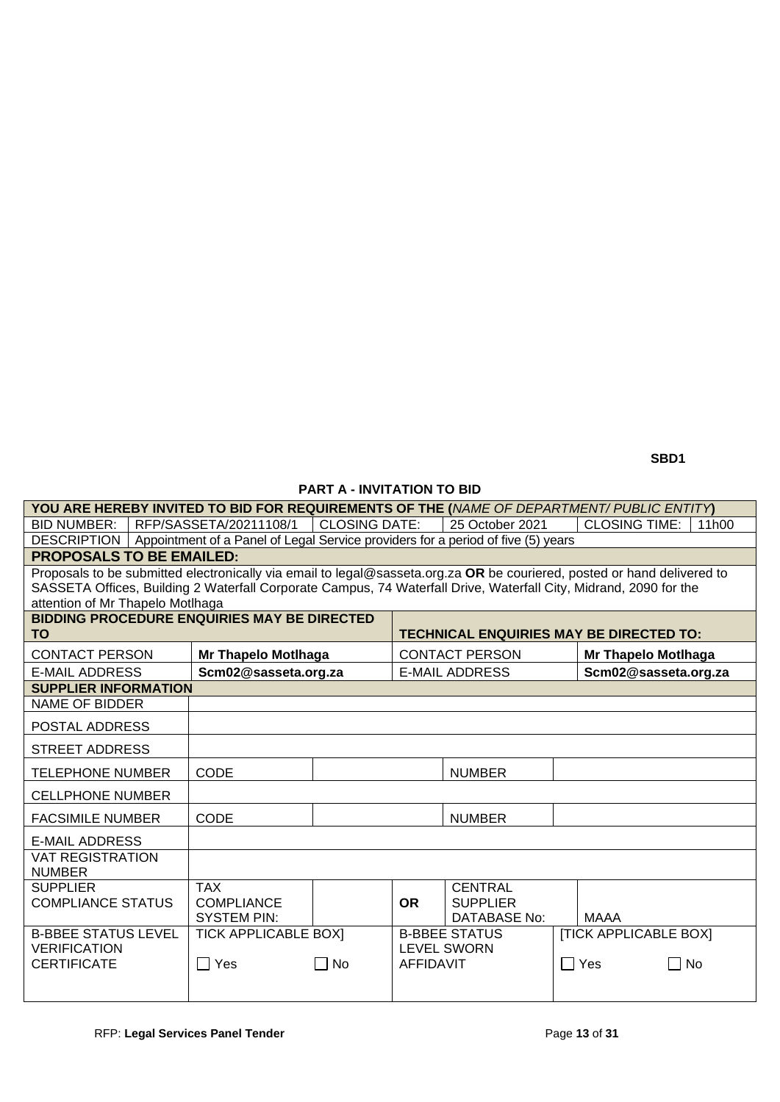**SBD1** 

## **PART A - INVITATION TO BID**

| YOU ARE HEREBY INVITED TO BID FOR REQUIREMENTS OF THE (NAME OF DEPARTMENT/PUBLIC ENTITY)                                                              |                                                                                  |                      |                                                                                                                         |                       |                         |                       |  |  |  |  |  |  |  |  |
|-------------------------------------------------------------------------------------------------------------------------------------------------------|----------------------------------------------------------------------------------|----------------------|-------------------------------------------------------------------------------------------------------------------------|-----------------------|-------------------------|-----------------------|--|--|--|--|--|--|--|--|
| <b>BID NUMBER:</b>                                                                                                                                    | RFP/SASSETA/20211108/1                                                           | <b>CLOSING DATE:</b> | 25 October 2021<br><b>CLOSING TIME:</b><br>11 <sub>h</sub> 00                                                           |                       |                         |                       |  |  |  |  |  |  |  |  |
| <b>DESCRIPTION</b>                                                                                                                                    | Appointment of a Panel of Legal Service providers for a period of five (5) years |                      |                                                                                                                         |                       |                         |                       |  |  |  |  |  |  |  |  |
| <b>PROPOSALS TO BE EMAILED:</b>                                                                                                                       |                                                                                  |                      |                                                                                                                         |                       |                         |                       |  |  |  |  |  |  |  |  |
|                                                                                                                                                       |                                                                                  |                      | Proposals to be submitted electronically via email to legal@sasseta.org.za OR be couriered, posted or hand delivered to |                       |                         |                       |  |  |  |  |  |  |  |  |
| SASSETA Offices, Building 2 Waterfall Corporate Campus, 74 Waterfall Drive, Waterfall City, Midrand, 2090 for the<br>attention of Mr Thapelo Motlhaga |                                                                                  |                      |                                                                                                                         |                       |                         |                       |  |  |  |  |  |  |  |  |
| <b>BIDDING PROCEDURE ENQUIRIES MAY BE DIRECTED</b>                                                                                                    |                                                                                  |                      |                                                                                                                         |                       |                         |                       |  |  |  |  |  |  |  |  |
| <b>TO</b>                                                                                                                                             |                                                                                  |                      | <b>TECHNICAL ENQUIRIES MAY BE DIRECTED TO:</b>                                                                          |                       |                         |                       |  |  |  |  |  |  |  |  |
| <b>CONTACT PERSON</b>                                                                                                                                 | <b>Mr Thapelo Motlhaga</b>                                                       |                      |                                                                                                                         | <b>CONTACT PERSON</b> |                         | Mr Thapelo Motlhaga   |  |  |  |  |  |  |  |  |
| <b>E-MAIL ADDRESS</b>                                                                                                                                 | Scm02@sasseta.org.za                                                             |                      |                                                                                                                         | <b>E-MAIL ADDRESS</b> |                         | Scm02@sasseta.org.za  |  |  |  |  |  |  |  |  |
| <b>SUPPLIER INFORMATION</b>                                                                                                                           |                                                                                  |                      |                                                                                                                         |                       |                         |                       |  |  |  |  |  |  |  |  |
| NAME OF BIDDER                                                                                                                                        |                                                                                  |                      |                                                                                                                         |                       |                         |                       |  |  |  |  |  |  |  |  |
| POSTAL ADDRESS                                                                                                                                        |                                                                                  |                      |                                                                                                                         |                       |                         |                       |  |  |  |  |  |  |  |  |
| <b>STREET ADDRESS</b>                                                                                                                                 |                                                                                  |                      |                                                                                                                         |                       |                         |                       |  |  |  |  |  |  |  |  |
| <b>TELEPHONE NUMBER</b>                                                                                                                               | <b>CODE</b>                                                                      |                      |                                                                                                                         | <b>NUMBER</b>         |                         |                       |  |  |  |  |  |  |  |  |
| <b>CELLPHONE NUMBER</b>                                                                                                                               |                                                                                  |                      |                                                                                                                         |                       |                         |                       |  |  |  |  |  |  |  |  |
| <b>FACSIMILE NUMBER</b>                                                                                                                               | CODE                                                                             |                      |                                                                                                                         | <b>NUMBER</b>         |                         |                       |  |  |  |  |  |  |  |  |
| <b>E-MAIL ADDRESS</b>                                                                                                                                 |                                                                                  |                      |                                                                                                                         |                       |                         |                       |  |  |  |  |  |  |  |  |
| <b>VAT REGISTRATION</b><br><b>NUMBER</b>                                                                                                              |                                                                                  |                      |                                                                                                                         |                       |                         |                       |  |  |  |  |  |  |  |  |
| <b>SUPPLIER</b>                                                                                                                                       | <b>TAX</b>                                                                       |                      |                                                                                                                         | <b>CENTRAL</b>        |                         |                       |  |  |  |  |  |  |  |  |
| <b>COMPLIANCE STATUS</b>                                                                                                                              | <b>COMPLIANCE</b>                                                                |                      | <b>OR</b>                                                                                                               | <b>SUPPLIER</b>       |                         |                       |  |  |  |  |  |  |  |  |
|                                                                                                                                                       | <b>SYSTEM PIN:</b>                                                               |                      |                                                                                                                         | DATABASE No:          |                         | <b>MAAA</b>           |  |  |  |  |  |  |  |  |
| <b>B-BBEE STATUS LEVEL</b>                                                                                                                            | <b>TICK APPLICABLE BOXI</b>                                                      |                      |                                                                                                                         | <b>B-BBEE STATUS</b>  |                         | [TICK APPLICABLE BOX] |  |  |  |  |  |  |  |  |
| <b>VERIFICATION</b><br><b>CERTIFICATE</b>                                                                                                             | $\sqsupset$ Yes                                                                  | l INo                | AFFIDAVIT                                                                                                               | <b>LEVEL SWORN</b>    | $\Box$ Yes<br><b>No</b> |                       |  |  |  |  |  |  |  |  |
|                                                                                                                                                       |                                                                                  |                      |                                                                                                                         |                       |                         |                       |  |  |  |  |  |  |  |  |
|                                                                                                                                                       |                                                                                  |                      |                                                                                                                         |                       |                         |                       |  |  |  |  |  |  |  |  |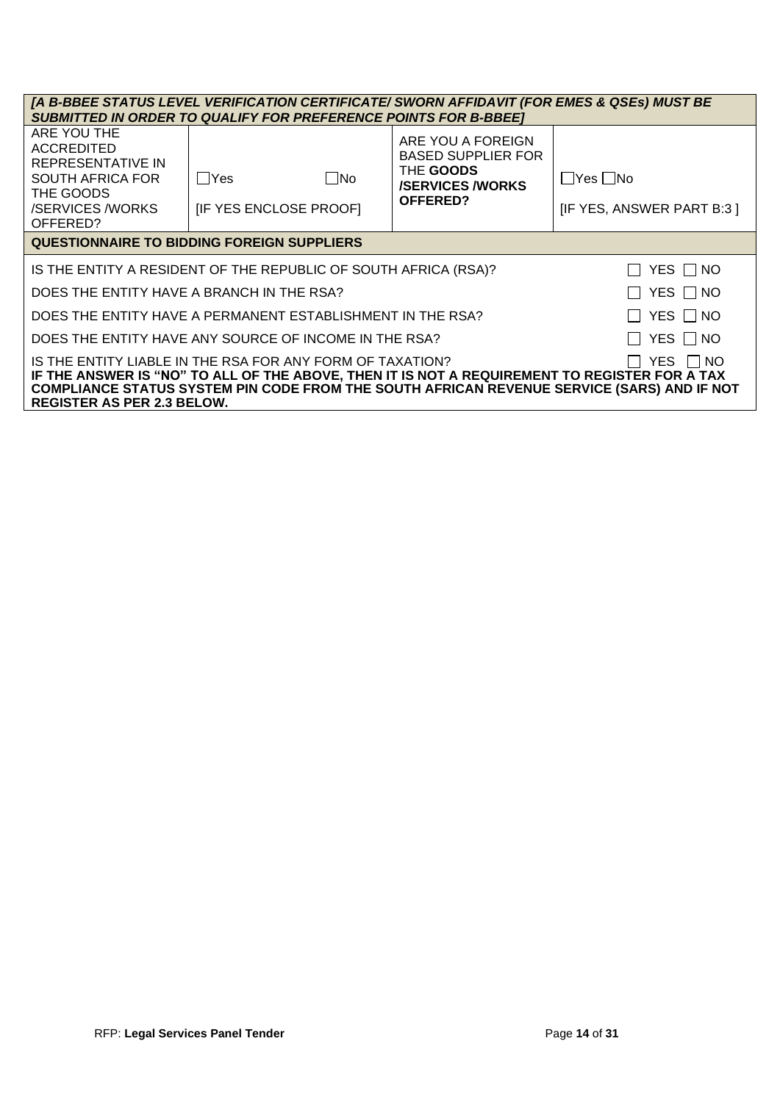| [A B-BBEE STATUS LEVEL VERIFICATION CERTIFICATE/ SWORN AFFIDAVIT (FOR EMES & QSEs) MUST BE                                                                                                                                                                                                                 |                                                                 |                                                                                                   |                                                   |  |  |  |  |  |  |  |  |  |  |
|------------------------------------------------------------------------------------------------------------------------------------------------------------------------------------------------------------------------------------------------------------------------------------------------------------|-----------------------------------------------------------------|---------------------------------------------------------------------------------------------------|---------------------------------------------------|--|--|--|--|--|--|--|--|--|--|
| <b>SUBMITTED IN ORDER TO QUALIFY FOR PREFERENCE POINTS FOR B-BBEET</b>                                                                                                                                                                                                                                     |                                                                 |                                                                                                   |                                                   |  |  |  |  |  |  |  |  |  |  |
| ARE YOU THE<br><b>ACCREDITED</b><br>REPRESENTATIVE IN<br><b>SOUTH AFRICA FOR</b><br>THE GOODS<br><b>/SERVICES/WORKS</b><br>OFFERED?                                                                                                                                                                        | No<br>  Yes<br>[IF YES ENCLOSE PROOF]                           | ARE YOU A FOREIGN<br><b>BASED SUPPLIER FOR</b><br>THE GOODS<br><b>/SERVICES/WORKS</b><br>OFFERED? | $\Box$ Yes $\Box$ No<br>[IF YES, ANSWER PART B:3] |  |  |  |  |  |  |  |  |  |  |
| <b>QUESTIONNAIRE TO BIDDING FOREIGN SUPPLIERS</b>                                                                                                                                                                                                                                                          |                                                                 |                                                                                                   |                                                   |  |  |  |  |  |  |  |  |  |  |
|                                                                                                                                                                                                                                                                                                            | IS THE ENTITY A RESIDENT OF THE REPUBLIC OF SOUTH AFRICA (RSA)? |                                                                                                   | YES    NO                                         |  |  |  |  |  |  |  |  |  |  |
| DOES THE ENTITY HAVE A BRANCH IN THE RSA?                                                                                                                                                                                                                                                                  |                                                                 |                                                                                                   | $\Box$ Yes $\Box$ No                              |  |  |  |  |  |  |  |  |  |  |
|                                                                                                                                                                                                                                                                                                            | DOES THE ENTITY HAVE A PERMANENT ESTABLISHMENT IN THE RSA?      |                                                                                                   | YES □ NO                                          |  |  |  |  |  |  |  |  |  |  |
|                                                                                                                                                                                                                                                                                                            | DOES THE ENTITY HAVE ANY SOURCE OF INCOME IN THE RSA?           |                                                                                                   | YES    NO                                         |  |  |  |  |  |  |  |  |  |  |
| IS THE ENTITY LIABLE IN THE RSA FOR ANY FORM OF TAXATION?<br>YES I INO<br>IF THE ANSWER IS "NO" TO ALL OF THE ABOVE, THEN IT IS NOT A REQUIREMENT TO REGISTER FOR A TAX<br>COMPLIANCE STATUS SYSTEM PIN CODE FROM THE SOUTH AFRICAN REVENUE SERVICE (SARS) AND IF NOT<br><b>REGISTER AS PER 2.3 BELOW.</b> |                                                                 |                                                                                                   |                                                   |  |  |  |  |  |  |  |  |  |  |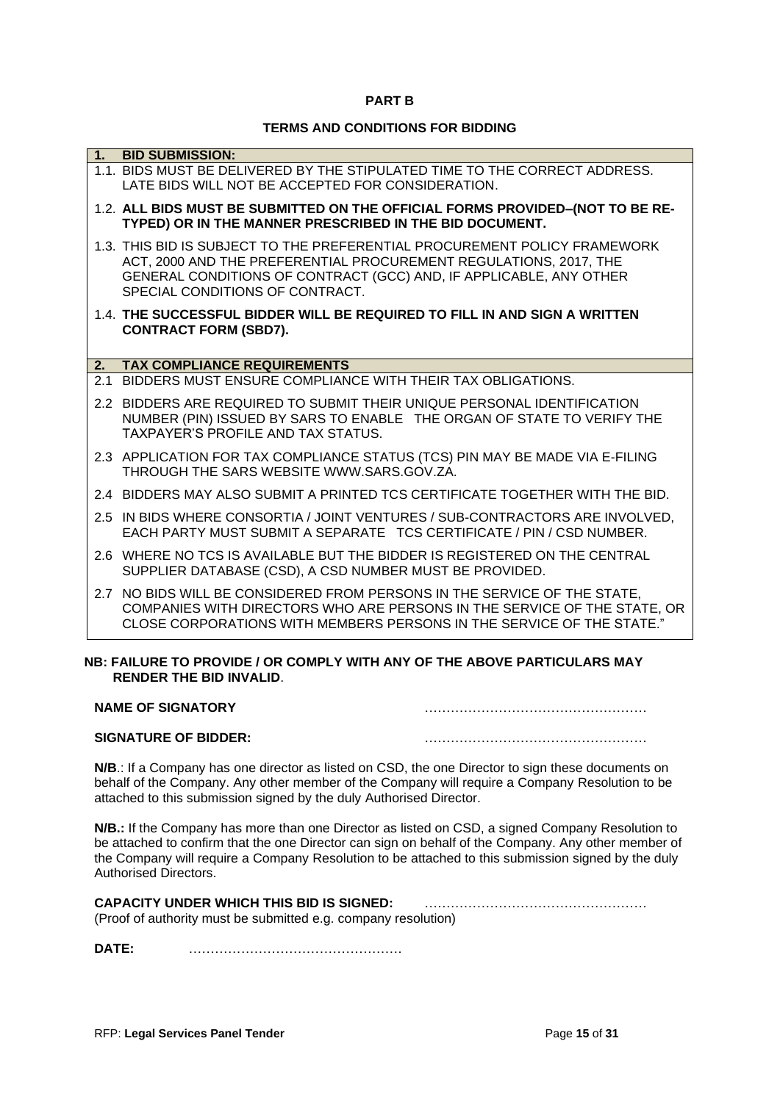#### **PART B**

#### **TERMS AND CONDITIONS FOR BIDDING**

| 1 <sup>1</sup> | <b>BID SUBMISSION:</b>                                                                                                                            |
|----------------|---------------------------------------------------------------------------------------------------------------------------------------------------|
|                |                                                                                                                                                   |
|                | 1.1. BIDS MUST BE DELIVERED BY THE STIPULATED TIME TO THE CORRECT ADDRESS.                                                                        |
|                | LATE BIDS WILL NOT BE ACCEPTED FOR CONSIDERATION.                                                                                                 |
|                | 1.2. ALL BIDS MUST BE SUBMITTED ON THE OFFICIAL FORMS PROVIDED-(NOT TO BE RE-                                                                     |
|                | TYPED) OR IN THE MANNER PRESCRIBED IN THE BID DOCUMENT.                                                                                           |
|                | 1.3. THIS BID IS SUBJECT TO THE PREFERENTIAL PROCUREMENT POLICY FRAMEWORK                                                                         |
|                | ACT, 2000 AND THE PREFERENTIAL PROCUREMENT REGULATIONS, 2017, THE                                                                                 |
|                | GENERAL CONDITIONS OF CONTRACT (GCC) AND, IF APPLICABLE, ANY OTHER                                                                                |
|                | SPECIAL CONDITIONS OF CONTRACT.                                                                                                                   |
|                | 1.4. THE SUCCESSFUL BIDDER WILL BE REQUIRED TO FILL IN AND SIGN A WRITTEN                                                                         |
|                | <b>CONTRACT FORM (SBD7).</b>                                                                                                                      |
|                |                                                                                                                                                   |
| 2.             | <b>TAX COMPLIANCE REQUIREMENTS</b>                                                                                                                |
| 2.1            | BIDDERS MUST ENSURE COMPLIANCE WITH THEIR TAX OBLIGATIONS.                                                                                        |
|                | 2.2 BIDDERS ARE REQUIRED TO SUBMIT THEIR UNIQUE PERSONAL IDENTIFICATION                                                                           |
|                | NUMBER (PIN) ISSUED BY SARS TO ENABLE THE ORGAN OF STATE TO VERIFY THE                                                                            |
|                | TAXPAYER'S PROFILE AND TAX STATUS.                                                                                                                |
|                |                                                                                                                                                   |
|                | 2.3 APPLICATION FOR TAX COMPLIANCE STATUS (TCS) PIN MAY BE MADE VIA E-FILING                                                                      |
|                | THROUGH THE SARS WEBSITE WWW.SARS.GOV.ZA.                                                                                                         |
|                | 2.4 BIDDERS MAY ALSO SUBMIT A PRINTED TCS CERTIFICATE TOGETHER WITH THE BID.                                                                      |
|                | 2.5 IN BIDS WHERE CONSORTIA / JOINT VENTURES / SUB-CONTRACTORS ARE INVOLVED,                                                                      |
|                | EACH PARTY MUST SUBMIT A SEPARATE TCS CERTIFICATE / PIN / CSD NUMBER.                                                                             |
|                |                                                                                                                                                   |
|                | 2.6 WHERE NO TCS IS AVAILABLE BUT THE BIDDER IS REGISTERED ON THE CENTRAL                                                                         |
|                |                                                                                                                                                   |
|                | SUPPLIER DATABASE (CSD), A CSD NUMBER MUST BE PROVIDED.                                                                                           |
|                |                                                                                                                                                   |
|                | 2.7 NO BIDS WILL BE CONSIDERED FROM PERSONS IN THE SERVICE OF THE STATE,                                                                          |
|                | COMPANIES WITH DIRECTORS WHO ARE PERSONS IN THE SERVICE OF THE STATE, OR<br>CLOSE CORPORATIONS WITH MEMBERS PERSONS IN THE SERVICE OF THE STATE." |

#### **NB: FAILURE TO PROVIDE / OR COMPLY WITH ANY OF THE ABOVE PARTICULARS MAY RENDER THE BID INVALID**.

| <b>NAME OF SIGNATORY</b>    |  |
|-----------------------------|--|
| <b>SIGNATURE OF BIDDER:</b> |  |

**N/B**.: If a Company has one director as listed on CSD, the one Director to sign these documents on behalf of the Company. Any other member of the Company will require a Company Resolution to be attached to this submission signed by the duly Authorised Director.

**N/B.:** If the Company has more than one Director as listed on CSD, a signed Company Resolution to be attached to confirm that the one Director can sign on behalf of the Company. Any other member of the Company will require a Company Resolution to be attached to this submission signed by the duly Authorised Directors.

#### **CAPACITY UNDER WHICH THIS BID IS SIGNED:** …………………………………………… (Proof of authority must be submitted e.g. company resolution)

**DATE:** ………………………………………….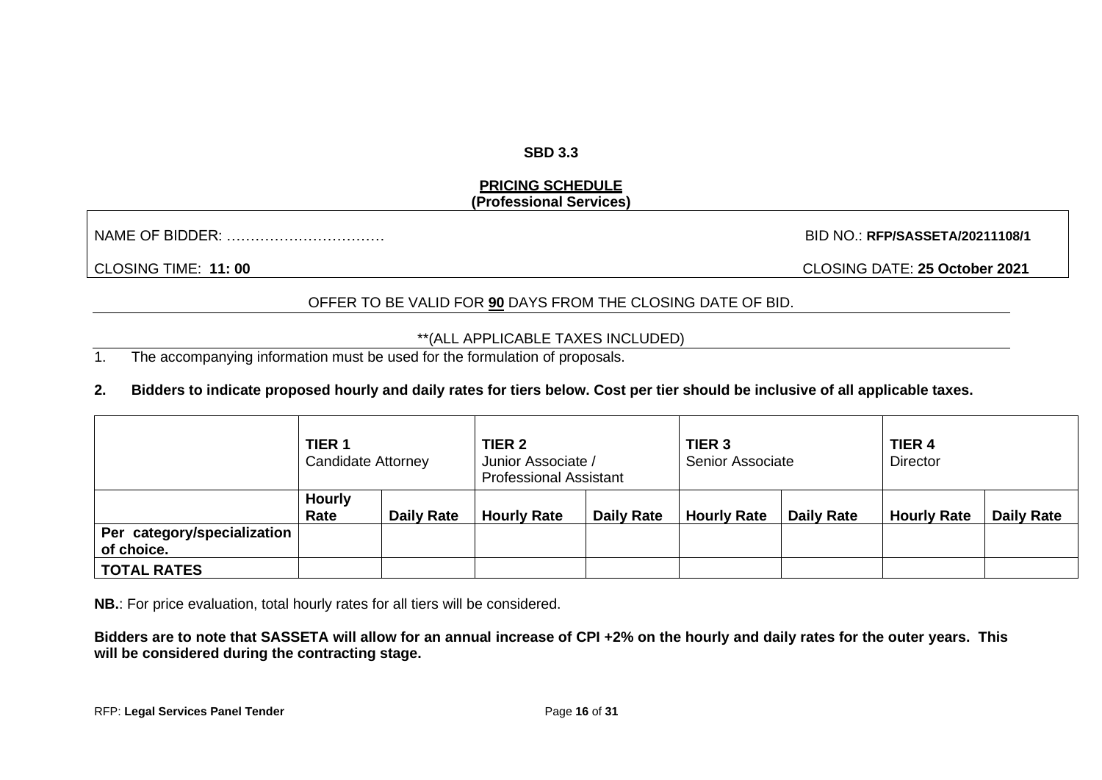#### **SBD 3.3**

## **PRICING SCHEDULE (Professional Services)**

NAME OF BIDDER: …………………………… BID NO.: **RFP/SASSETA/20211108/1**

CLOSING TIME: **11: 00** CLOSING DATE: **25 October 2021**

## OFFER TO BE VALID FOR **90** DAYS FROM THE CLOSING DATE OF BID.

#### \*\*(ALL APPLICABLE TAXES INCLUDED)

1. The accompanying information must be used for the formulation of proposals.

## **2. Bidders to indicate proposed hourly and daily rates for tiers below. Cost per tier should be inclusive of all applicable taxes.**

|                             | TIER <sub>1</sub><br><b>Candidate Attorney</b> |                   | TIER <sub>2</sub><br>Junior Associate /<br><b>Professional Assistant</b> |                   | TIER <sub>3</sub><br><b>Senior Associate</b> |                   | <b>TIER 4</b><br><b>Director</b> |                   |  |  |  |  |  |
|-----------------------------|------------------------------------------------|-------------------|--------------------------------------------------------------------------|-------------------|----------------------------------------------|-------------------|----------------------------------|-------------------|--|--|--|--|--|
| Per category/specialization | <b>Hourly</b><br>Rate                          | <b>Daily Rate</b> | <b>Hourly Rate</b>                                                       | <b>Daily Rate</b> | <b>Hourly Rate</b>                           | <b>Daily Rate</b> | <b>Hourly Rate</b>               | <b>Daily Rate</b> |  |  |  |  |  |
| of choice.                  |                                                |                   |                                                                          |                   |                                              |                   |                                  |                   |  |  |  |  |  |
| <b>TOTAL RATES</b>          |                                                |                   |                                                                          |                   |                                              |                   |                                  |                   |  |  |  |  |  |

**NB.**: For price evaluation, total hourly rates for all tiers will be considered.

**Bidders are to note that SASSETA will allow for an annual increase of CPI +2% on the hourly and daily rates for the outer years. This will be considered during the contracting stage.**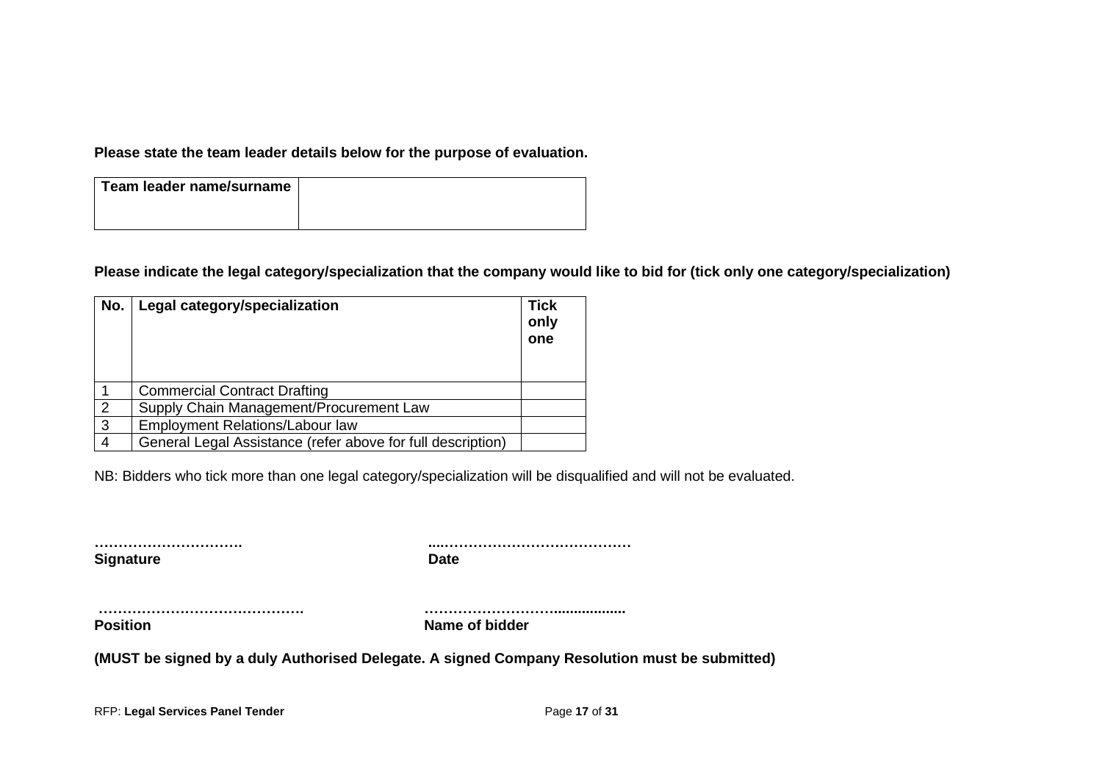**Please state the team leader details below for the purpose of evaluation.**

| Team leader name/surname |  |
|--------------------------|--|
|                          |  |

**Please indicate the legal category/specialization that the company would like to bid for (tick only one category/specialization)**

| No.            | Legal category/specialization                               | <b>Tick</b><br>only<br>one |
|----------------|-------------------------------------------------------------|----------------------------|
|                | <b>Commercial Contract Drafting</b>                         |                            |
| $\overline{2}$ | Supply Chain Management/Procurement Law                     |                            |
| 3              | Employment Relations/Labour law                             |                            |
| 4              | General Legal Assistance (refer above for full description) |                            |

NB: Bidders who tick more than one legal category/specialization will be disqualified and will not be evaluated.

| <b>Signature</b> |  |
|------------------|--|

**…………………………. ....…………………………………**

**……………………………………. ……………………….................. Position** Name of bidder

**(MUST be signed by a duly Authorised Delegate. A signed Company Resolution must be submitted)**

RFP: **Legal Services Panel Tender** Page **17** of **31**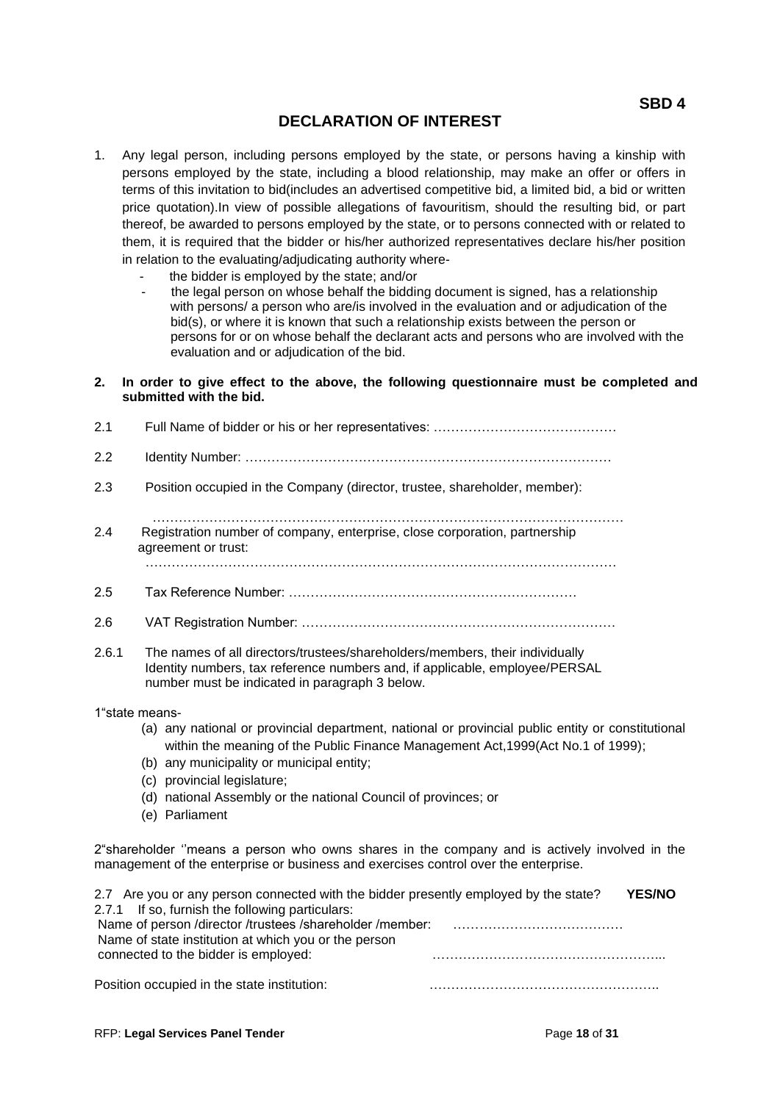# **DECLARATION OF INTEREST**

- 1. Any legal person, including persons employed by the state, or persons having a kinship with persons employed by the state, including a blood relationship, may make an offer or offers in terms of this invitation to bid(includes an advertised competitive bid, a limited bid, a bid or written price quotation).In view of possible allegations of favouritism, should the resulting bid, or part thereof, be awarded to persons employed by the state, or to persons connected with or related to them, it is required that the bidder or his/her authorized representatives declare his/her position in relation to the evaluating/adjudicating authority where
	- the bidder is employed by the state; and/or
	- the legal person on whose behalf the bidding document is signed, has a relationship with persons/ a person who are/is involved in the evaluation and or adjudication of the bid(s), or where it is known that such a relationship exists between the person or persons for or on whose behalf the declarant acts and persons who are involved with the evaluation and or adjudication of the bid.
- **2. In order to give effect to the above, the following questionnaire must be completed and submitted with the bid.**
- 2.1 Full Name of bidder or his or her representatives: ……………………………………
- 2.2 Identity Number: …………………………………………………………………………
- 2.3 Position occupied in the Company (director, trustee, shareholder, member):
- ……………………………………………………………………………………………… 2.4 Registration number of company, enterprise, close corporation, partnership agreement or trust: ………………………………………………………………………………………………
- 2.5 Tax Reference Number: …………………………………………………………
- 2.6 VAT Registration Number: ………………………………………………………………
- 2.6.1 The names of all directors/trustees/shareholders/members, their individually Identity numbers, tax reference numbers and, if applicable, employee/PERSAL number must be indicated in paragraph 3 below.
- 1"state means-
	- (a) any national or provincial department, national or provincial public entity or constitutional within the meaning of the Public Finance Management Act,1999(Act No.1 of 1999);
	- (b) any municipality or municipal entity;
	- (c) provincial legislature;
	- (d) national Assembly or the national Council of provinces; or
	- (e) Parliament

2"shareholder ''means a person who owns shares in the company and is actively involved in the management of the enterprise or business and exercises control over the enterprise.

| 2.7 Are you or any person connected with the bidder presently employed by the state? | <b>YES/NO</b> |
|--------------------------------------------------------------------------------------|---------------|
| 2.7.1 If so, furnish the following particulars:                                      |               |
| Name of person /director /trustees /shareholder /member:                             |               |
| Name of state institution at which you or the person                                 |               |
| connected to the bidder is employed:                                                 |               |
| Position occupied in the state institution:                                          |               |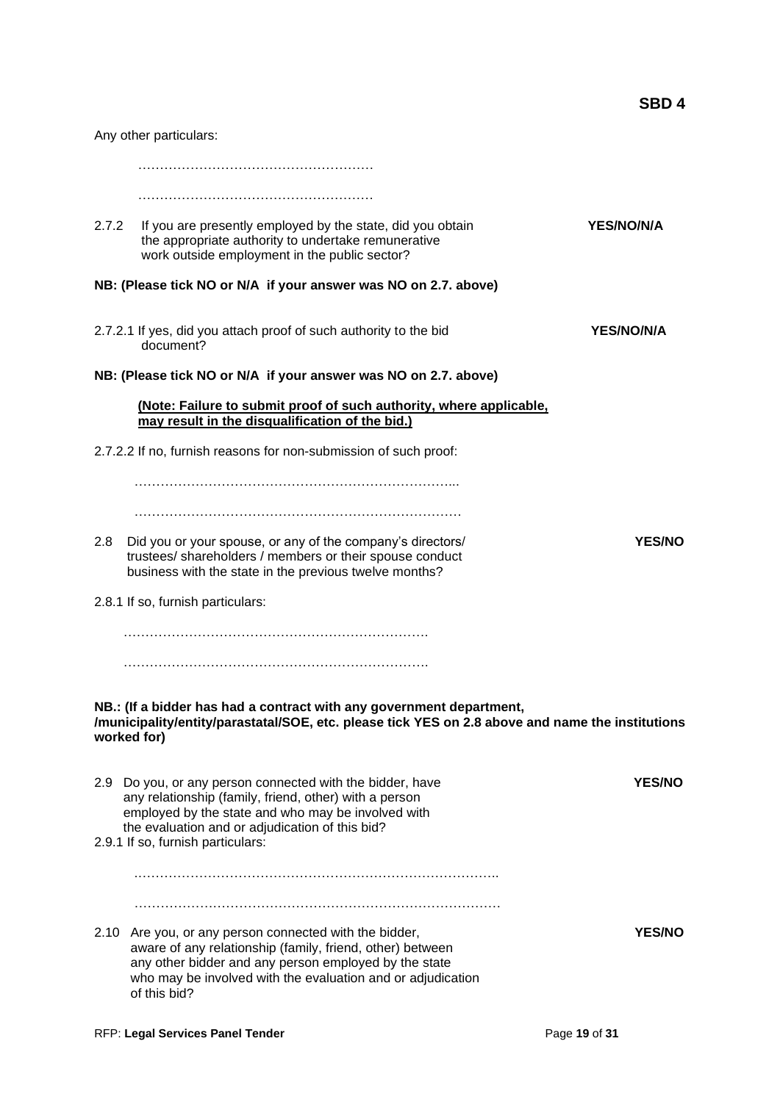Any other particulars: ……………………………………………… …………………………………………………………… 2.7.2 If you are presently employed by the state, did you obtain **YES/NO/N/A** the appropriate authority to undertake remunerative work outside employment in the public sector? **NB: (Please tick NO or N/A if your answer was NO on 2.7. above)** 2.7.2.1 If yes, did you attach proof of such authority to the bid **YES/NO/N/A** document? **NB: (Please tick NO or N/A if your answer was NO on 2.7. above) (Note: Failure to submit proof of such authority, where applicable, may result in the disqualification of the bid.)** 2.7.2.2 If no, furnish reasons for non-submission of such proof: ………………………………………………………………... ………………………………………………………………… 2.8 Did you or your spouse, or any of the company's directors/ **YES/NO** trustees/ shareholders / members or their spouse conduct business with the state in the previous twelve months? 2.8.1 If so, furnish particulars: ……………………………………………………………. ……………………………………………………………. **NB.: (If a bidder has had a contract with any government department, /municipality/entity/parastatal/SOE, etc. please tick YES on 2.8 above and name the institutions worked for)** 2.9 Do you, or any person connected with the bidder, have **YES/NO** any relationship (family, friend, other) with a person employed by the state and who may be involved with the evaluation and or adjudication of this bid? 2.9.1 If so, furnish particulars: .……………………………………………………………………….. ………………………………………………………………………… 2.10 Are you, or any person connected with the bidder, **YES/NO** aware of any relationship (family, friend, other) between any other bidder and any person employed by the state who may be involved with the evaluation and or adjudication of this bid?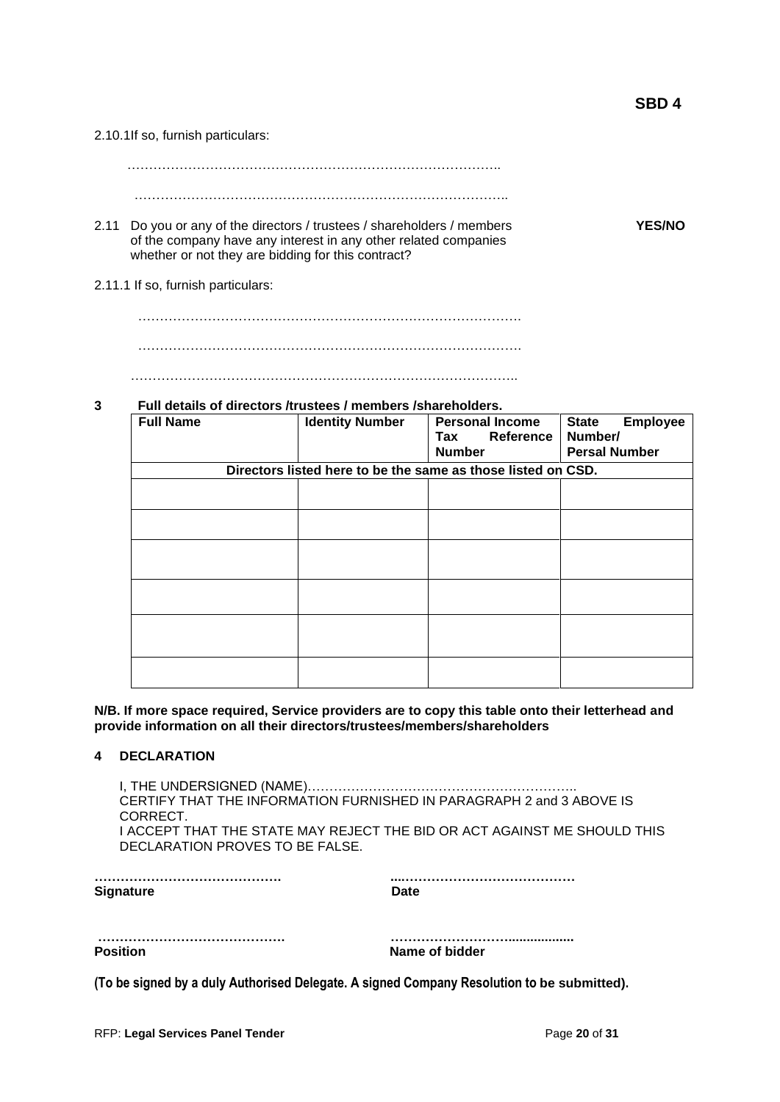2.10.1If so, furnish particulars:

 ………………………………………………………………………….. …………………………………………………………………………..

- 2.11 Do you or any of the directors / trustees / shareholders / members **YES/NO** of the company have any interest in any other related companies whether or not they are bidding for this contract?
- 2.11.1 If so, furnish particulars:

 …………………………………………………………………………….  $\mathcal{L}^{(n)}$ ……………………………………………………………………………..

#### **3 Full details of directors /trustees / members /shareholders.**

| <b>Full Name</b> | <b>Identity Number</b> | <b>Personal Income</b><br>Reference<br>Tax<br><b>Number</b>  | <b>State</b><br><b>Employee</b><br>Number/<br><b>Persal Number</b> |
|------------------|------------------------|--------------------------------------------------------------|--------------------------------------------------------------------|
|                  |                        | Directors listed here to be the same as those listed on CSD. |                                                                    |
|                  |                        |                                                              |                                                                    |
|                  |                        |                                                              |                                                                    |
|                  |                        |                                                              |                                                                    |
|                  |                        |                                                              |                                                                    |
|                  |                        |                                                              |                                                                    |
|                  |                        |                                                              |                                                                    |

**N/B. If more space required, Service providers are to copy this table onto their letterhead and provide information on all their directors/trustees/members/shareholders**

#### **4 DECLARATION**

 I, THE UNDERSIGNED (NAME)…………………………………………………….. CERTIFY THAT THE INFORMATION FURNISHED IN PARAGRAPH 2 and 3 ABOVE IS CORRECT. I ACCEPT THAT THE STATE MAY REJECT THE BID OR ACT AGAINST ME SHOULD THIS DECLARATION PROVES TO BE FALSE.

**Signature Date** 

**……………………………………. ....…………………………………**

**Position** Name of bidder

**(To be signed by a duly Authorised Delegate. A signed Company Resolution to be submitted).**

**……………………………………. ………………………..................**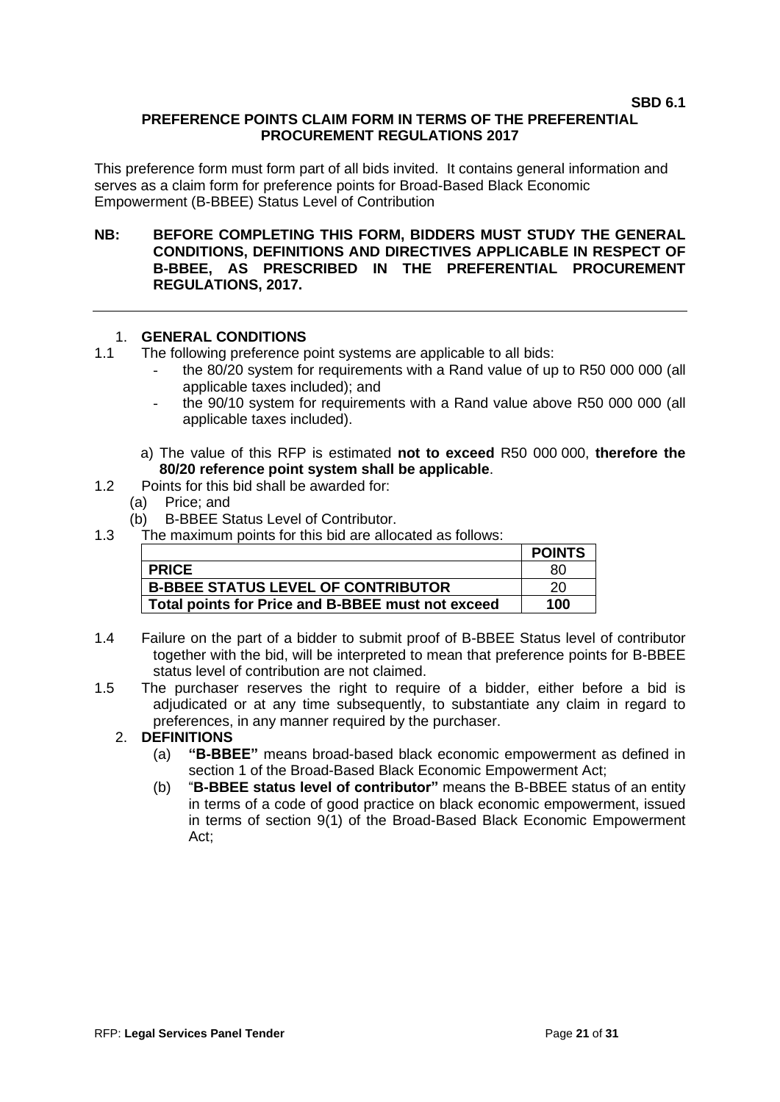#### **SBD 6.1**

## **PREFERENCE POINTS CLAIM FORM IN TERMS OF THE PREFERENTIAL PROCUREMENT REGULATIONS 2017**

This preference form must form part of all bids invited. It contains general information and serves as a claim form for preference points for Broad-Based Black Economic Empowerment (B-BBEE) Status Level of Contribution

#### **NB: BEFORE COMPLETING THIS FORM, BIDDERS MUST STUDY THE GENERAL CONDITIONS, DEFINITIONS AND DIRECTIVES APPLICABLE IN RESPECT OF B-BBEE, AS PRESCRIBED IN THE PREFERENTIAL PROCUREMENT REGULATIONS, 2017.**

## 1. **GENERAL CONDITIONS**

- 1.1 The following preference point systems are applicable to all bids:
	- the 80/20 system for requirements with a Rand value of up to R50 000 000 (all applicable taxes included); and
	- the 90/10 system for requirements with a Rand value above R50 000 000 (all applicable taxes included).
	- a) The value of this RFP is estimated **not to exceed** R50 000 000, **therefore the 80/20 reference point system shall be applicable**.
- 1.2 Points for this bid shall be awarded for:
	- (a) Price; and
	- (b) B-BBEE Status Level of Contributor.
- 1.3 The maximum points for this bid are allocated as follows:

|                                                   | <b>POINTS</b> |
|---------------------------------------------------|---------------|
| <b>PRICE</b>                                      | 80            |
| <b>B-BBEE STATUS LEVEL OF CONTRIBUTOR</b>         | 20            |
| Total points for Price and B-BBEE must not exceed | 100           |

- 1.4 Failure on the part of a bidder to submit proof of B-BBEE Status level of contributor together with the bid, will be interpreted to mean that preference points for B-BBEE status level of contribution are not claimed.
- 1.5 The purchaser reserves the right to require of a bidder, either before a bid is adjudicated or at any time subsequently, to substantiate any claim in regard to preferences, in any manner required by the purchaser.

# 2. **DEFINITIONS**

- (a) **"B-BBEE"** means broad-based black economic empowerment as defined in section 1 of the Broad-Based Black Economic Empowerment Act;
- (b) "**B-BBEE status level of contributor"** means the B-BBEE status of an entity in terms of a code of good practice on black economic empowerment, issued in terms of section 9(1) of the Broad-Based Black Economic Empowerment Act;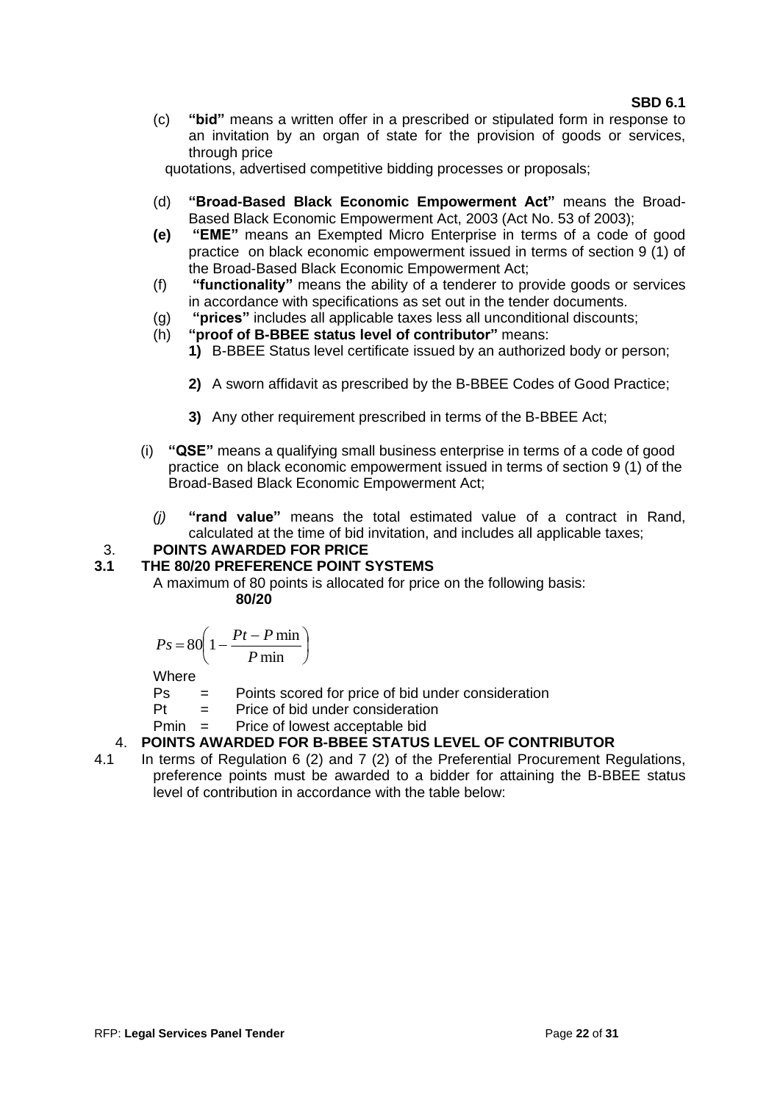(c) **"bid"** means a written offer in a prescribed or stipulated form in response to an invitation by an organ of state for the provision of goods or services, through price

quotations, advertised competitive bidding processes or proposals;

- (d) **"Broad-Based Black Economic Empowerment Act"** means the Broad-Based Black Economic Empowerment Act, 2003 (Act No. 53 of 2003);
- **(e) "EME"** means an Exempted Micro Enterprise in terms of a code of good practice on black economic empowerment issued in terms of section 9 (1) of the Broad-Based Black Economic Empowerment Act;
- (f) **"functionality"** means the ability of a tenderer to provide goods or services in accordance with specifications as set out in the tender documents.
- (g) **"prices"** includes all applicable taxes less all unconditional discounts;
- (h) **"proof of B-BBEE status level of contributor"** means:
	- **1)** B-BBEE Status level certificate issued by an authorized body or person;
	- **2)** A sworn affidavit as prescribed by the B-BBEE Codes of Good Practice;
	- **3)** Any other requirement prescribed in terms of the B-BBEE Act;
- (i) **"QSE"** means a qualifying small business enterprise in terms of a code of good practice on black economic empowerment issued in terms of section 9 (1) of the Broad-Based Black Economic Empowerment Act;
	- *(j)* **"rand value"** means the total estimated value of a contract in Rand, calculated at the time of bid invitation, and includes all applicable taxes;

# 3. **POINTS AWARDED FOR PRICE**

## **3.1 THE 80/20 PREFERENCE POINT SYSTEMS**

A maximum of 80 points is allocated for price on the following basis: **80/20**

$$
Ps = 80 \left( 1 - \frac{Pt - P \min}{P \min} \right)
$$

Where

- Ps = Points scored for price of bid under consideration
- $Pt =$  Price of bid under consideration
- Pmin = Price of lowest acceptable bid

# 4. **POINTS AWARDED FOR B-BBEE STATUS LEVEL OF CONTRIBUTOR**

4.1 In terms of Regulation 6 (2) and 7 (2) of the Preferential Procurement Regulations, preference points must be awarded to a bidder for attaining the B-BBEE status level of contribution in accordance with the table below: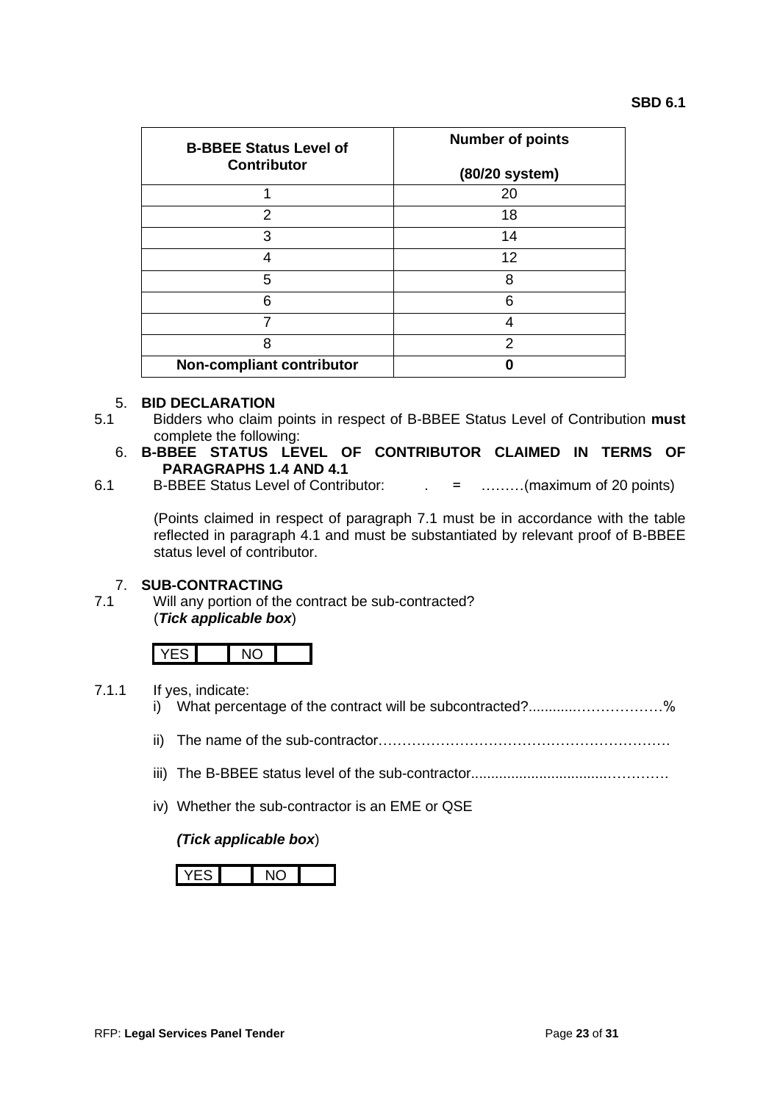| <b>B-BBEE Status Level of</b> | <b>Number of points</b> |  |
|-------------------------------|-------------------------|--|
| <b>Contributor</b>            | (80/20 system)          |  |
|                               | 20                      |  |
| 2                             | 18                      |  |
| 3                             | 14                      |  |
| 4                             | 12                      |  |
| 5                             | 8                       |  |
| 6                             | 6                       |  |
| 7                             |                         |  |
| 8                             | 2                       |  |
| Non-compliant contributor     |                         |  |

#### 5. **BID DECLARATION**

- 5.1 Bidders who claim points in respect of B-BBEE Status Level of Contribution **must** complete the following:
	- 6. **B-BBEE STATUS LEVEL OF CONTRIBUTOR CLAIMED IN TERMS OF PARAGRAPHS 1.4 AND 4.1**
- 6.1 B-BBEE Status Level of Contributor: . = ………(maximum of 20 points)

(Points claimed in respect of paragraph 7.1 must be in accordance with the table reflected in paragraph 4.1 and must be substantiated by relevant proof of B-BBEE status level of contributor.

# 7. **SUB-CONTRACTING**

Will any portion of the contract be sub-contracted? (*Tick applicable box*)

- 7.1.1 If yes, indicate:
	- i) What percentage of the contract will be subcontracted?............................%
	- ii) The name of the sub-contractor…………………………………………………….
	- iii) The B-BBEE status level of the sub-contractor..................................………….
	- iv) Whether the sub-contractor is an EME or QSE

#### *(Tick applicable box*)

$$
YES | NO |
$$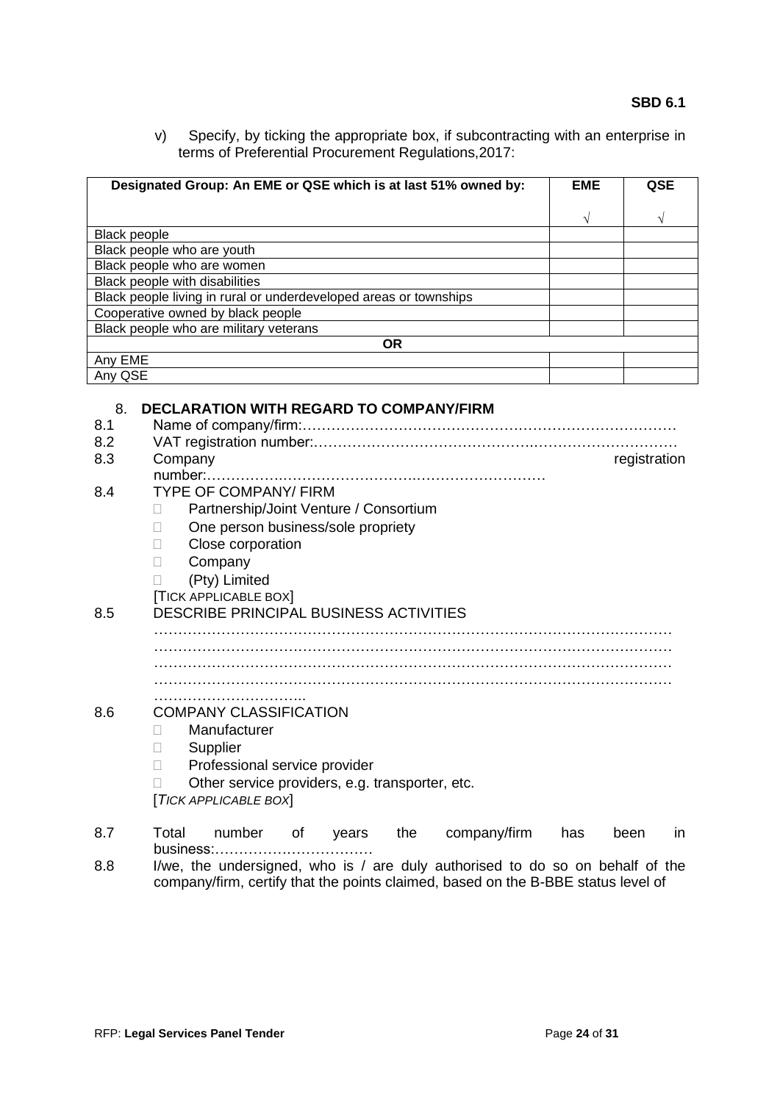v) Specify, by ticking the appropriate box, if subcontracting with an enterprise in terms of Preferential Procurement Regulations,2017:

|                     | Designated Group: An EME or QSE which is at last 51% owned by:    | <b>EME</b> | QSE          |
|---------------------|-------------------------------------------------------------------|------------|--------------|
|                     |                                                                   | V          | V            |
| <b>Black people</b> |                                                                   |            |              |
|                     | Black people who are youth                                        |            |              |
|                     | Black people who are women                                        |            |              |
|                     | Black people with disabilities                                    |            |              |
|                     | Black people living in rural or underdeveloped areas or townships |            |              |
|                     | Cooperative owned by black people                                 |            |              |
|                     | Black people who are military veterans                            |            |              |
| Any EME             | <b>OR</b>                                                         |            |              |
| Any QSE             |                                                                   |            |              |
|                     |                                                                   |            |              |
| 8.                  | <b>DECLARATION WITH REGARD TO COMPANY/FIRM</b>                    |            |              |
| 8.1                 |                                                                   |            |              |
| 8.2                 |                                                                   |            |              |
| 8.3                 | Company                                                           |            | registration |
|                     | $number:$                                                         |            |              |
| 8.4                 | <b>TYPE OF COMPANY/ FIRM</b>                                      |            |              |
|                     | Partnership/Joint Venture / Consortium                            |            |              |
|                     | One person business/sole propriety<br>Ш                           |            |              |
|                     | Close corporation<br>Ш                                            |            |              |
|                     | Company<br>Ш                                                      |            |              |
|                     | (Pty) Limited                                                     |            |              |
|                     | <b>TICK APPLICABLE BOX</b>                                        |            |              |
| 8.5                 | <b>DESCRIBE PRINCIPAL BUSINESS ACTIVITIES</b>                     |            |              |
|                     |                                                                   |            |              |
|                     |                                                                   |            |              |
|                     |                                                                   |            |              |
|                     |                                                                   |            |              |
|                     |                                                                   |            |              |
| 8.6                 | <b>COMPANY CLASSIFICATION</b>                                     |            |              |
|                     | Manufacturer                                                      |            |              |
|                     | Supplier<br>П                                                     |            |              |
|                     | Professional service provider<br>Н                                |            |              |
|                     | Other service providers, e.g. transporter, etc.                   |            |              |
|                     | [TICK APPLICABLE BOX]                                             |            |              |
| 8.7                 | Total<br>number<br>the<br>company/firm<br>of                      | has        | been<br>in   |
|                     | years<br>business:                                                |            |              |
|                     |                                                                   |            |              |

8.8 I/we, the undersigned, who is / are duly authorised to do so on behalf of the company/firm, certify that the points claimed, based on the B-BBE status level of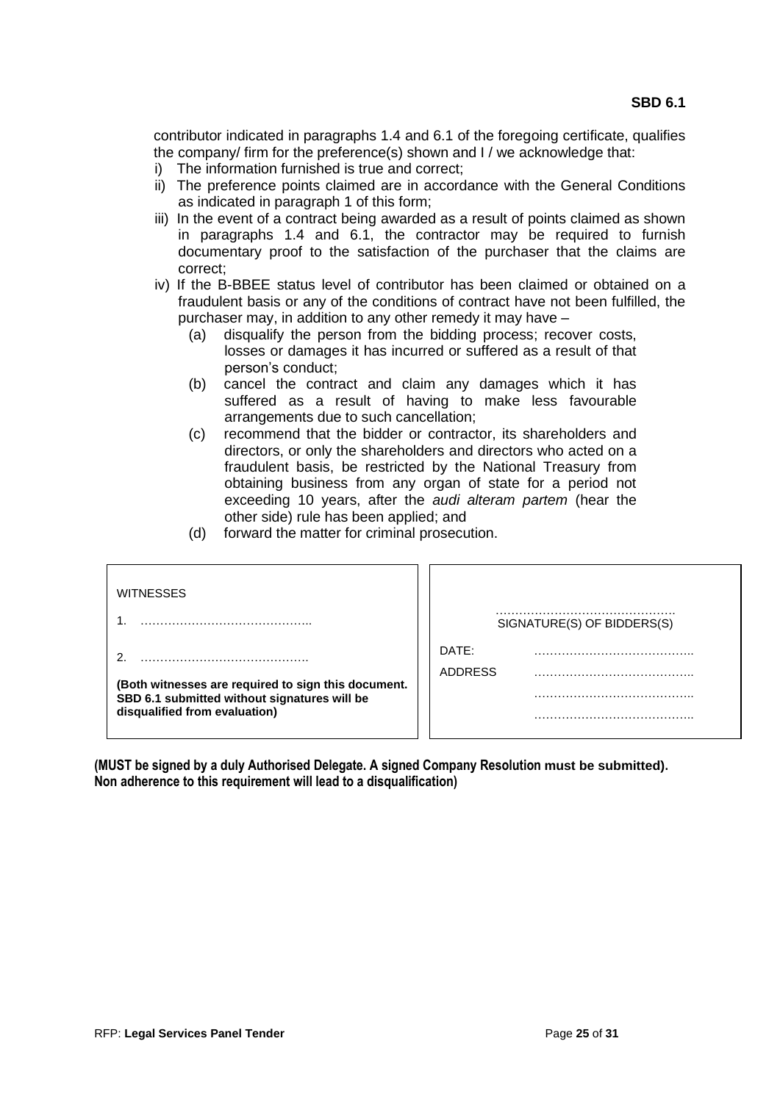contributor indicated in paragraphs 1.4 and 6.1 of the foregoing certificate, qualifies the company/ firm for the preference(s) shown and I / we acknowledge that:

- i) The information furnished is true and correct;
- ii) The preference points claimed are in accordance with the General Conditions as indicated in paragraph 1 of this form;
- iii) In the event of a contract being awarded as a result of points claimed as shown in paragraphs 1.4 and 6.1, the contractor may be required to furnish documentary proof to the satisfaction of the purchaser that the claims are correct;
- iv) If the B-BBEE status level of contributor has been claimed or obtained on a fraudulent basis or any of the conditions of contract have not been fulfilled, the purchaser may, in addition to any other remedy it may have –
	- (a) disqualify the person from the bidding process; recover costs, losses or damages it has incurred or suffered as a result of that person's conduct;
	- (b) cancel the contract and claim any damages which it has suffered as a result of having to make less favourable arrangements due to such cancellation;
	- (c) recommend that the bidder or contractor, its shareholders and directors, or only the shareholders and directors who acted on a fraudulent basis, be restricted by the National Treasury from obtaining business from any organ of state for a period not exceeding 10 years, after the *audi alteram partem* (hear the other side) rule has been applied; and
	- (d) forward the matter for criminal prosecution.

| <b>WITNESSES</b>                                                              | SIGNATURE(S) OF BIDDERS(S) |
|-------------------------------------------------------------------------------|----------------------------|
|                                                                               | DATE:                      |
| (Both witnesses are required to sign this document.                           | <b>ADDRESS</b>             |
| SBD 6.1 submitted without signatures will be<br>disqualified from evaluation) |                            |
|                                                                               |                            |

**(MUST be signed by a duly Authorised Delegate. A signed Company Resolution must be submitted). Non adherence to this requirement will lead to a disqualification)**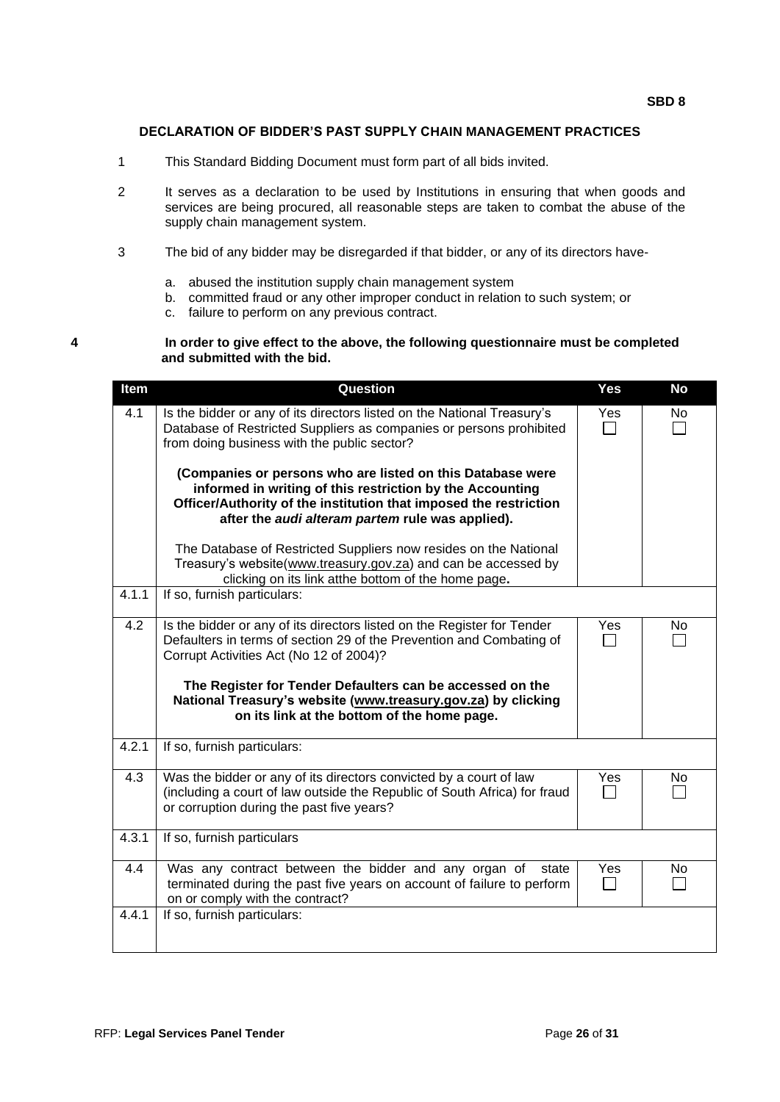#### **DECLARATION OF BIDDER'S PAST SUPPLY CHAIN MANAGEMENT PRACTICES**

- 1 This Standard Bidding Document must form part of all bids invited.
- 2 It serves as a declaration to be used by Institutions in ensuring that when goods and services are being procured, all reasonable steps are taken to combat the abuse of the supply chain management system.
- 3 The bid of any bidder may be disregarded if that bidder, or any of its directors have
	- a. abused the institution supply chain management system
	- b. committed fraud or any other improper conduct in relation to such system; or
	- c. failure to perform on any previous contract.

#### **4 In order to give effect to the above, the following questionnaire must be completed and submitted with the bid.**

| Item  | Question                                                                                                                                                                                                                                                                                                                                                                | Yes | <b>No</b> |
|-------|-------------------------------------------------------------------------------------------------------------------------------------------------------------------------------------------------------------------------------------------------------------------------------------------------------------------------------------------------------------------------|-----|-----------|
| 4.1   | Is the bidder or any of its directors listed on the National Treasury's<br>Database of Restricted Suppliers as companies or persons prohibited<br>from doing business with the public sector?                                                                                                                                                                           | Yes | No        |
|       | (Companies or persons who are listed on this Database were<br>informed in writing of this restriction by the Accounting<br>Officer/Authority of the institution that imposed the restriction<br>after the audi alteram partem rule was applied).                                                                                                                        |     |           |
|       | The Database of Restricted Suppliers now resides on the National<br>Treasury's website(www.treasury.gov.za) and can be accessed by<br>clicking on its link atthe bottom of the home page.                                                                                                                                                                               |     |           |
| 4.1.1 | If so, furnish particulars:                                                                                                                                                                                                                                                                                                                                             |     |           |
| 4.2   | Is the bidder or any of its directors listed on the Register for Tender<br>Defaulters in terms of section 29 of the Prevention and Combating of<br>Corrupt Activities Act (No 12 of 2004)?<br>The Register for Tender Defaulters can be accessed on the<br>National Treasury's website (www.treasury.gov.za) by clicking<br>on its link at the bottom of the home page. | Yes | No        |
| 4.2.1 | If so, furnish particulars:                                                                                                                                                                                                                                                                                                                                             |     |           |
| 4.3   | Was the bidder or any of its directors convicted by a court of law<br>(including a court of law outside the Republic of South Africa) for fraud<br>or corruption during the past five years?                                                                                                                                                                            | Yes | No        |
| 4.3.1 | If so, furnish particulars                                                                                                                                                                                                                                                                                                                                              |     |           |
| 4.4   | Was any contract between the bidder and any organ of<br>state<br>terminated during the past five years on account of failure to perform<br>on or comply with the contract?                                                                                                                                                                                              | Yes | No.       |
| 4.4.1 | If so, furnish particulars:                                                                                                                                                                                                                                                                                                                                             |     |           |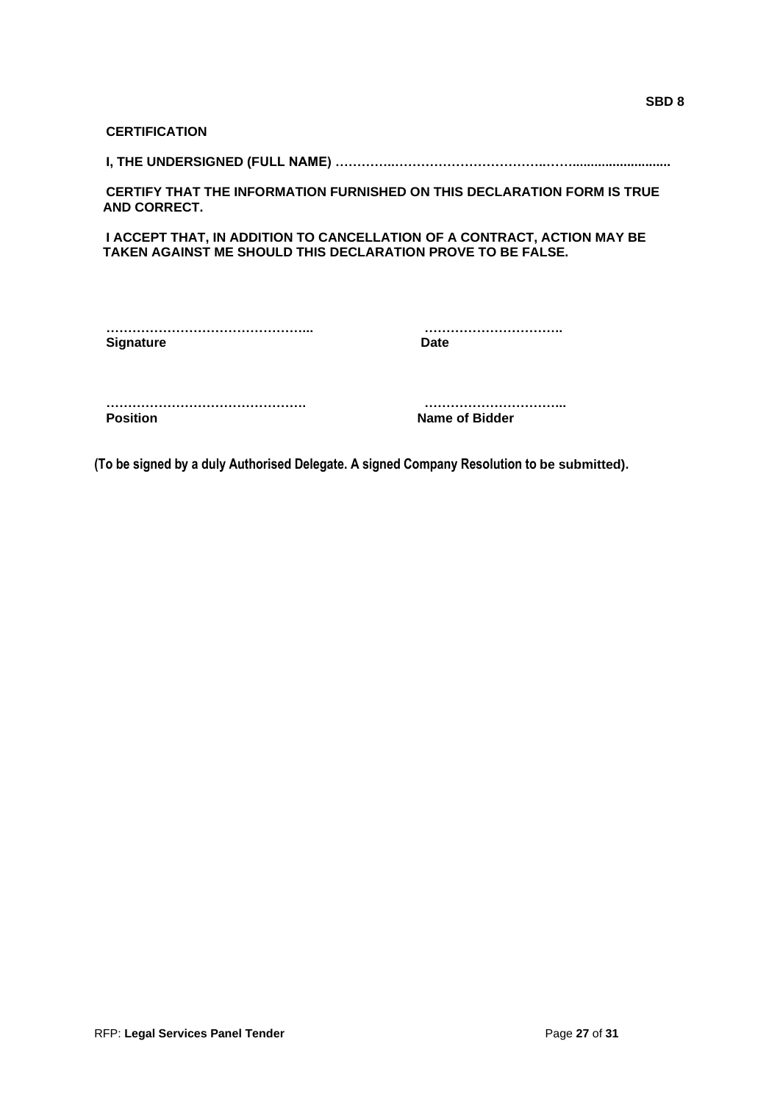| <b>CERTIFICATION</b>                                               |                                                                                |
|--------------------------------------------------------------------|--------------------------------------------------------------------------------|
|                                                                    |                                                                                |
| <b>AND CORRECT.</b>                                                | <b>CERTIFY THAT THE INFORMATION FURNISHED ON THIS DECLARATION FORM IS TRUE</b> |
| <b>TAKEN AGAINST ME SHOULD THIS DECLARATION PROVE TO BE FALSE.</b> | I ACCEPT THAT, IN ADDITION TO CANCELLATION OF A CONTRACT, ACTION MAY BE        |
|                                                                    |                                                                                |
| <b>Signature</b>                                                   | Date                                                                           |
| <b>Position</b>                                                    | Name of Bidder                                                                 |

**(To be signed by a duly Authorised Delegate. A signed Company Resolution to be submitted).**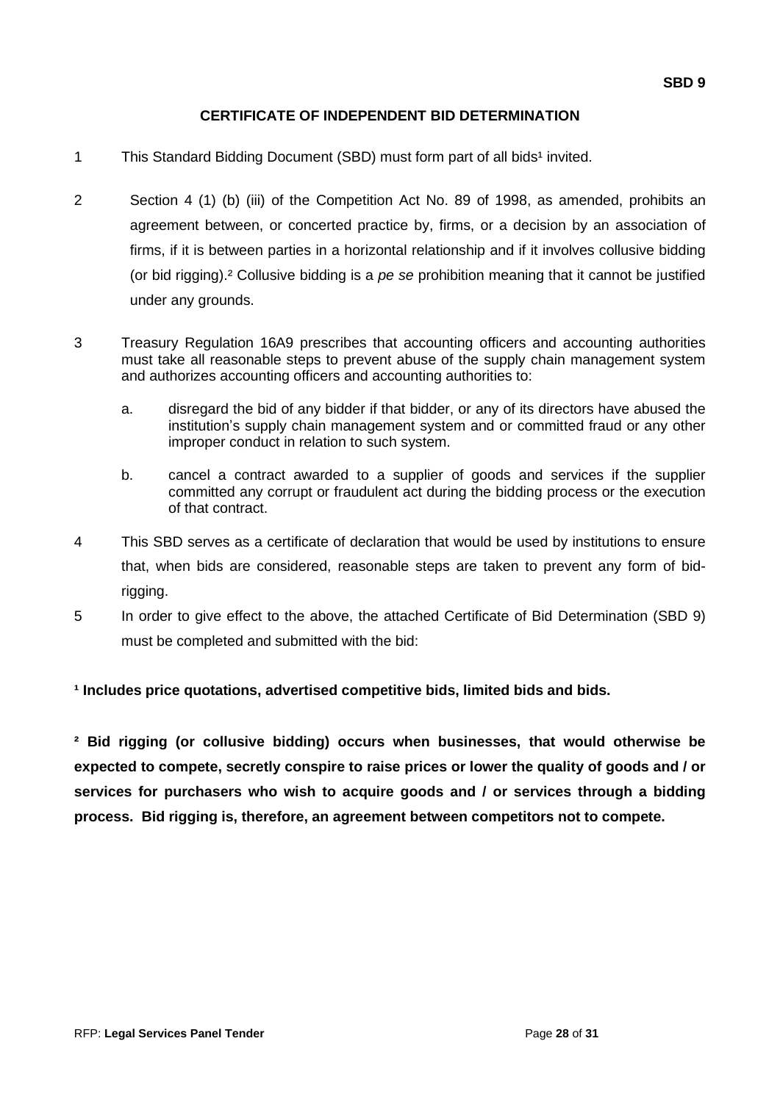## **CERTIFICATE OF INDEPENDENT BID DETERMINATION**

- 1 This Standard Bidding Document (SBD) must form part of all bids<sup>1</sup> invited.
- 2 Section 4 (1) (b) (iii) of the Competition Act No. 89 of 1998, as amended, prohibits an agreement between, or concerted practice by, firms, or a decision by an association of firms, if it is between parties in a horizontal relationship and if it involves collusive bidding (or bid rigging).² Collusive bidding is a *pe se* prohibition meaning that it cannot be justified under any grounds.
- 3 Treasury Regulation 16A9 prescribes that accounting officers and accounting authorities must take all reasonable steps to prevent abuse of the supply chain management system and authorizes accounting officers and accounting authorities to:
	- a. disregard the bid of any bidder if that bidder, or any of its directors have abused the institution's supply chain management system and or committed fraud or any other improper conduct in relation to such system.
	- b. cancel a contract awarded to a supplier of goods and services if the supplier committed any corrupt or fraudulent act during the bidding process or the execution of that contract.
- 4 This SBD serves as a certificate of declaration that would be used by institutions to ensure that, when bids are considered, reasonable steps are taken to prevent any form of bidrigging.
- 5 In order to give effect to the above, the attached Certificate of Bid Determination (SBD 9) must be completed and submitted with the bid:

## **¹ Includes price quotations, advertised competitive bids, limited bids and bids.**

**² Bid rigging (or collusive bidding) occurs when businesses, that would otherwise be expected to compete, secretly conspire to raise prices or lower the quality of goods and / or services for purchasers who wish to acquire goods and / or services through a bidding process. Bid rigging is, therefore, an agreement between competitors not to compete.**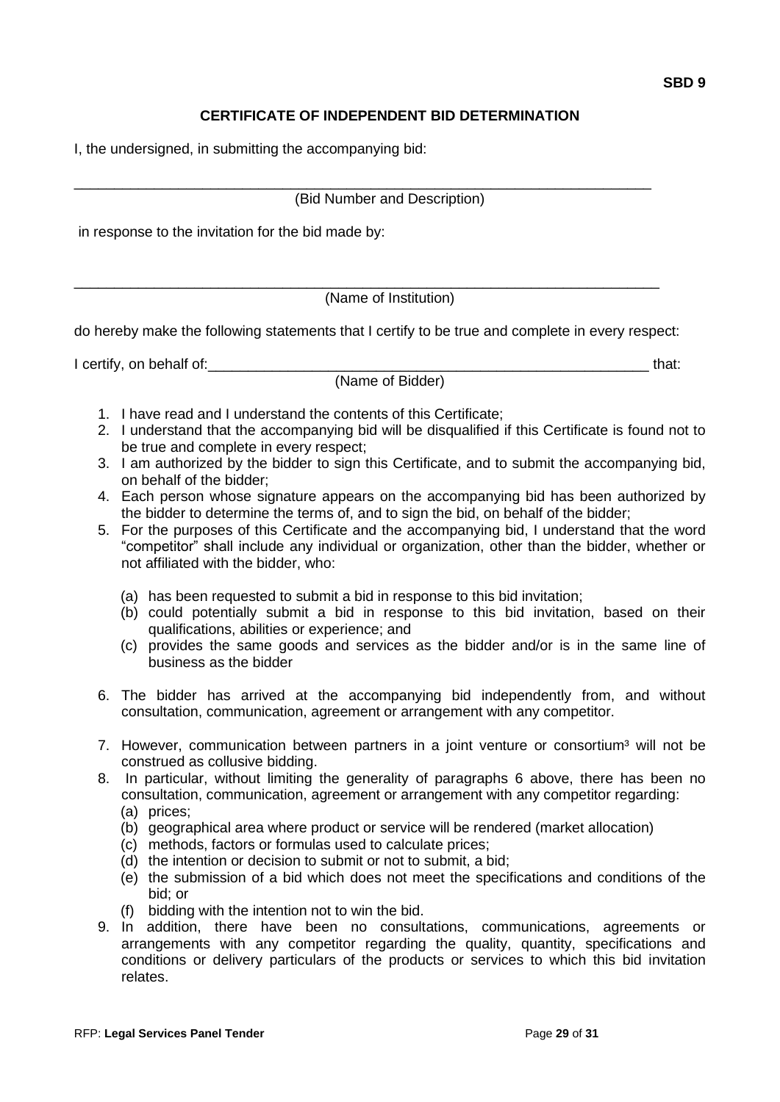## **CERTIFICATE OF INDEPENDENT BID DETERMINATION**

I, the undersigned, in submitting the accompanying bid:

#### \_\_\_\_\_\_\_\_\_\_\_\_\_\_\_\_\_\_\_\_\_\_\_\_\_\_\_\_\_\_\_\_\_\_\_\_\_\_\_\_\_\_\_\_\_\_\_\_\_\_\_\_\_\_\_\_\_\_\_\_\_\_\_\_\_\_\_\_\_\_\_\_ (Bid Number and Description)

in response to the invitation for the bid made by:

(Name of Institution)

do hereby make the following statements that I certify to be true and complete in every respect:

\_\_\_\_\_\_\_\_\_\_\_\_\_\_\_\_\_\_\_\_\_\_\_\_\_\_\_\_\_\_\_\_\_\_\_\_\_\_\_\_\_\_\_\_\_\_\_\_\_\_\_\_\_\_\_\_\_\_\_\_\_\_\_\_\_\_\_\_\_\_\_\_\_

I certify, on behalf of: the state of the state of the state of the state of the state of the state of the state of the state of the state of the state of the state of the state of the state of the state of the state of th

(Name of Bidder)

- 1. I have read and I understand the contents of this Certificate;
- 2. I understand that the accompanying bid will be disqualified if this Certificate is found not to be true and complete in every respect;
- 3. I am authorized by the bidder to sign this Certificate, and to submit the accompanying bid, on behalf of the bidder;
- 4. Each person whose signature appears on the accompanying bid has been authorized by the bidder to determine the terms of, and to sign the bid, on behalf of the bidder;
- 5. For the purposes of this Certificate and the accompanying bid, I understand that the word "competitor" shall include any individual or organization, other than the bidder, whether or not affiliated with the bidder, who:
	- (a) has been requested to submit a bid in response to this bid invitation;
	- (b) could potentially submit a bid in response to this bid invitation, based on their qualifications, abilities or experience; and
	- (c) provides the same goods and services as the bidder and/or is in the same line of business as the bidder
- 6. The bidder has arrived at the accompanying bid independently from, and without consultation, communication, agreement or arrangement with any competitor.
- 7. However, communication between partners in a joint venture or consortium<sup>3</sup> will not be construed as collusive bidding.
- 8. In particular, without limiting the generality of paragraphs 6 above, there has been no consultation, communication, agreement or arrangement with any competitor regarding:
	- (a) prices;
	- (b) geographical area where product or service will be rendered (market allocation)
	- (c) methods, factors or formulas used to calculate prices;
	- (d) the intention or decision to submit or not to submit, a bid;
	- (e) the submission of a bid which does not meet the specifications and conditions of the bid; or
	- (f) bidding with the intention not to win the bid.
- 9. In addition, there have been no consultations, communications, agreements or arrangements with any competitor regarding the quality, quantity, specifications and conditions or delivery particulars of the products or services to which this bid invitation relates.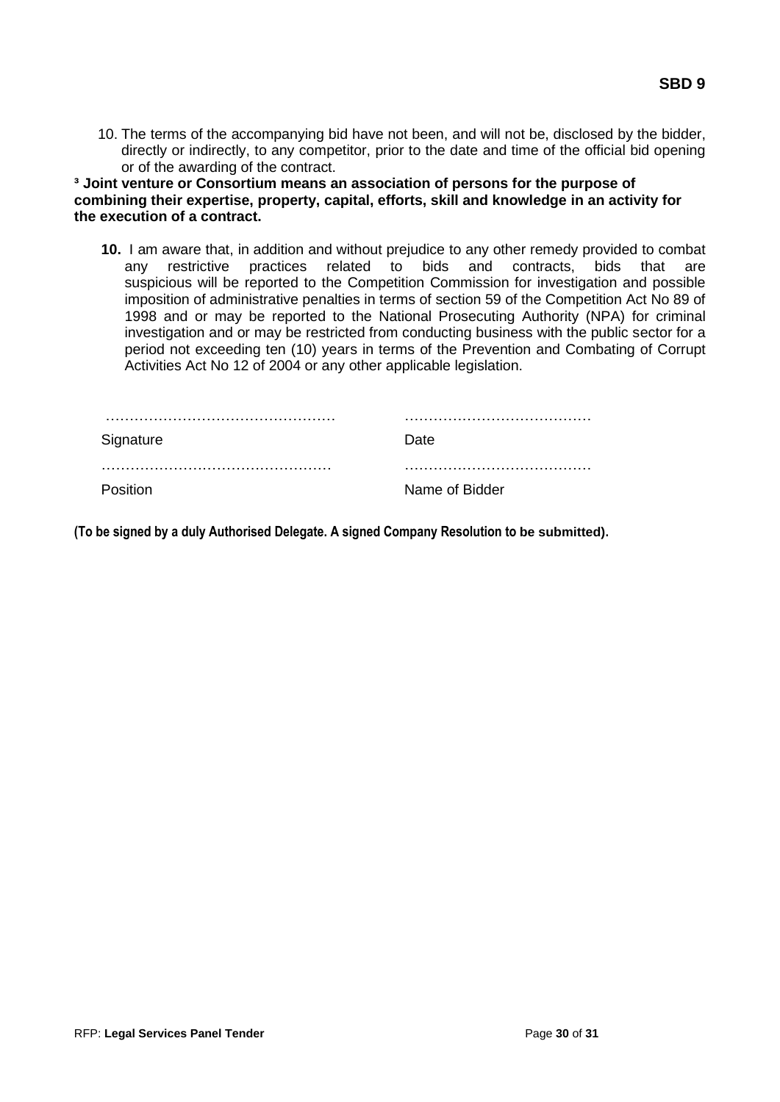10. The terms of the accompanying bid have not been, and will not be, disclosed by the bidder, directly or indirectly, to any competitor, prior to the date and time of the official bid opening or of the awarding of the contract.

**³ Joint venture or Consortium means an association of persons for the purpose of combining their expertise, property, capital, efforts, skill and knowledge in an activity for the execution of a contract.**

**10.** I am aware that, in addition and without prejudice to any other remedy provided to combat any restrictive practices related to bids and contracts, bids that are suspicious will be reported to the Competition Commission for investigation and possible imposition of administrative penalties in terms of section 59 of the Competition Act No 89 of 1998 and or may be reported to the National Prosecuting Authority (NPA) for criminal investigation and or may be restricted from conducting business with the public sector for a period not exceeding ten (10) years in terms of the Prevention and Combating of Corrupt Activities Act No 12 of 2004 or any other applicable legislation.

| Signature       | Date.          |
|-----------------|----------------|
|                 |                |
| <b>Position</b> | Name of Bidder |

**(To be signed by a duly Authorised Delegate. A signed Company Resolution to be submitted).**